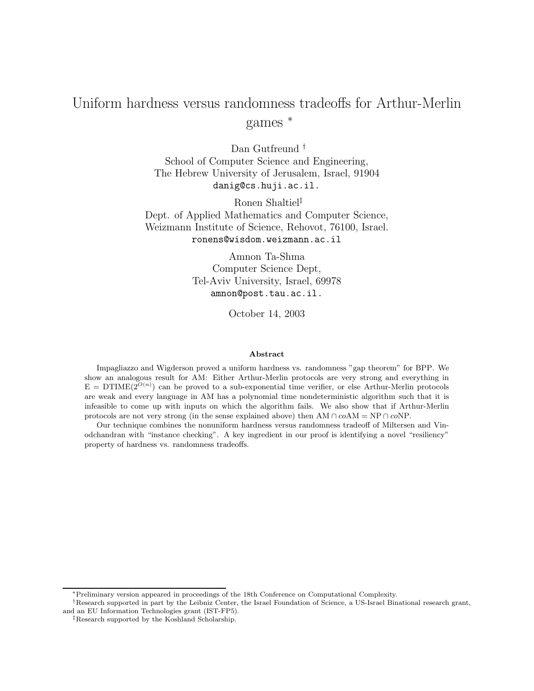# Uniform hardness versus randomness tradeoffs for Arthur-Merlin games <sup>∗</sup>

Dan Gutfreund<sup>†</sup> School of Computer Science and Engineering, The Hebrew University of Jerusalem, Israel, 91904 danig@cs.huji.ac.il.

Ronen Shaltiel‡ Dept. of Applied Mathematics and Computer Science, Weizmann Institute of Science, Rehovot, 76100, Israel. ronens@wisdom.weizmann.ac.il

> Amnon Ta-Shma Computer Science Dept, Tel-Aviv University, Israel, 69978 amnon@post.tau.ac.il.

> > October 14, 2003

#### Abstract

Impagliazzo and Wigderson proved a uniform hardness vs. randomness "gap theorem" for BPP. We show an analogous result for AM: Either Arthur-Merlin protocols are very strong and everything in  $E = DTIME(2^{O(n)})$  can be proved to a sub-exponential time verifier, or else Arthur-Merlin protocols are weak and every language in AM has a polynomial time nondeterministic algorithm such that it is infeasible to come up with inputs on which the algorithm fails. We also show that if Arthur-Merlin protocols are not very strong (in the sense explained above) then  $AM \cap coAM = NP \cap coNP$ .

Our technique combines the nonuniform hardness versus randomness tradeoff of Miltersen and Vinodchandran with "instance checking". A key ingredient in our proof is identifying a novel "resiliency" property of hardness vs. randomness tradeoffs.

<sup>∗</sup>Preliminary version appeared in proceedings of the 18th Conference on Computational Complexity.

<sup>†</sup>Research supported in part by the Leibniz Center, the Israel Foundation of Science, a US-Israel Binational research grant, and an EU Information Technologies grant (IST-FP5).

<sup>‡</sup>Research supported by the Koshland Scholarship.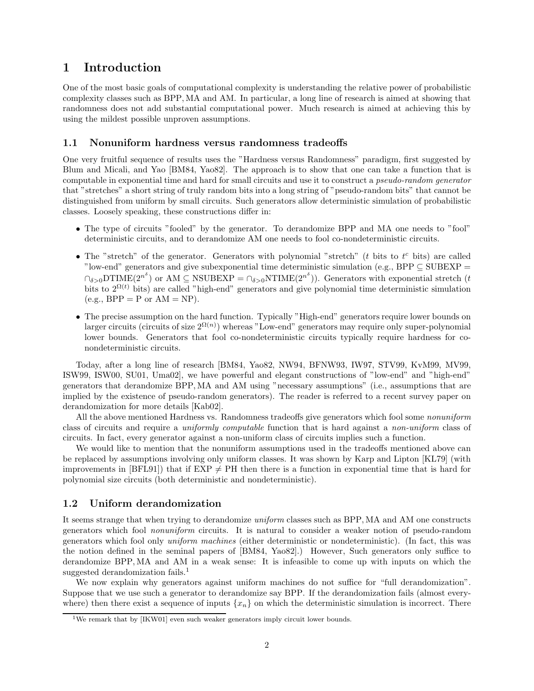## 1 Introduction

One of the most basic goals of computational complexity is understanding the relative power of probabilistic complexity classes such as BPP, MA and AM. In particular, a long line of research is aimed at showing that randomness does not add substantial computational power. Much research is aimed at achieving this by using the mildest possible unproven assumptions.

### 1.1 Nonuniform hardness versus randomness tradeoffs

One very fruitful sequence of results uses the "Hardness versus Randomness" paradigm, first suggested by Blum and Micali, and Yao [BM84, Yao82]. The approach is to show that one can take a function that is computable in exponential time and hard for small circuits and use it to construct a pseudo-random generator that "stretches" a short string of truly random bits into a long string of "pseudo-random bits" that cannot be distinguished from uniform by small circuits. Such generators allow deterministic simulation of probabilistic classes. Loosely speaking, these constructions differ in:

- The type of circuits "fooled" by the generator. To derandomize BPP and MA one needs to "fool" deterministic circuits, and to derandomize AM one needs to fool co-nondeterministic circuits.
- The "stretch" of the generator. Generators with polynomial "stretch" ( $t$  bits to  $t<sup>c</sup>$  bits) are called "low-end" generators and give subexponential time deterministic simulation (e.g., BPP  $\subseteq$  SUBEXP =  $\bigcap_{\delta>0}$ DTIME $(2^{n^{\delta}})$  or AM  $\subseteq$  NSUBEXP =  $\bigcap_{\delta>0}$ NTIME $(2^{n^{\delta}})$ ). Generators with exponential stretch  $(t)$ bits to  $2^{\Omega(t)}$  bits) are called "high-end" generators and give polynomial time deterministic simulation  $(e.g., BPP = P \text{ or } AM = NP).$
- The precise assumption on the hard function. Typically "High-end" generators require lower bounds on larger circuits (circuits of size  $2^{\Omega(n)}$ ) whereas "Low-end" generators may require only super-polynomial lower bounds. Generators that fool co-nondeterministic circuits typically require hardness for conondeterministic circuits.

Today, after a long line of research [BM84, Yao82, NW94, BFNW93, IW97, STV99, KvM99, MV99, ISW99, ISW00, SU01, Uma02], we have powerful and elegant constructions of "low-end" and "high-end" generators that derandomize BPP, MA and AM using "necessary assumptions" (i.e., assumptions that are implied by the existence of pseudo-random generators). The reader is referred to a recent survey paper on derandomization for more details [Kab02].

All the above mentioned Hardness vs. Randomness tradeoffs give generators which fool some *nonuniform* class of circuits and require a uniformly computable function that is hard against a non-uniform class of circuits. In fact, every generator against a non-uniform class of circuits implies such a function.

We would like to mention that the nonuniform assumptions used in the tradeoffs mentioned above can be replaced by assumptions involving only uniform classes. It was shown by Karp and Lipton [KL79] (with improvements in [BFL91]) that if  $EXP \neq PH$  then there is a function in exponential time that is hard for polynomial size circuits (both deterministic and nondeterministic).

## 1.2 Uniform derandomization

It seems strange that when trying to derandomize uniform classes such as BPP, MA and AM one constructs generators which fool nonuniform circuits. It is natural to consider a weaker notion of pseudo-random generators which fool only uniform machines (either deterministic or nondeterministic). (In fact, this was the notion defined in the seminal papers of [BM84, Yao82].) However, Such generators only suffice to derandomize BPP, MA and AM in a weak sense: It is infeasible to come up with inputs on which the suggested derandomization fails.<sup>1</sup>

We now explain why generators against uniform machines do not suffice for "full derandomization". Suppose that we use such a generator to derandomize say BPP. If the derandomization fails (almost everywhere) then there exist a sequence of inputs  $\{x_n\}$  on which the deterministic simulation is incorrect. There

<sup>&</sup>lt;sup>1</sup>We remark that by [IKW01] even such weaker generators imply circuit lower bounds.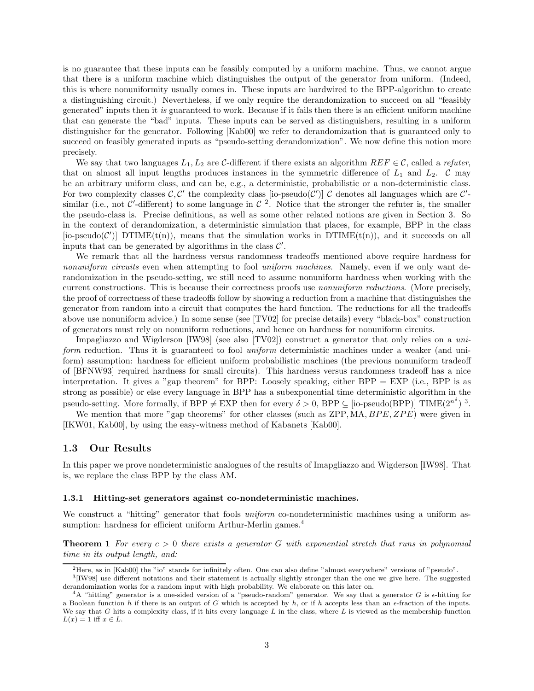is no guarantee that these inputs can be feasibly computed by a uniform machine. Thus, we cannot argue that there is a uniform machine which distinguishes the output of the generator from uniform. (Indeed, this is where nonuniformity usually comes in. These inputs are hardwired to the BPP-algorithm to create a distinguishing circuit.) Nevertheless, if we only require the derandomization to succeed on all "feasibly generated" inputs then it is guaranteed to work. Because if it fails then there is an efficient uniform machine that can generate the "bad" inputs. These inputs can be served as distinguishers, resulting in a uniform distinguisher for the generator. Following [Kab00] we refer to derandomization that is guaranteed only to succeed on feasibly generated inputs as "pseudo-setting derandomization". We now define this notion more precisely.

We say that two languages  $L_1, L_2$  are C-different if there exists an algorithm  $REF \in \mathcal{C}$ , called a refuter, that on almost all input lengths produces instances in the symmetric difference of  $L_1$  and  $L_2$ .  $\mathcal C$  may be an arbitrary uniform class, and can be, e.g., a deterministic, probabilistic or a non-deterministic class. For two complexity classes  $\mathcal{C}, \mathcal{C}'$  the complexity class [io-pseudo( $\mathcal{C}'$ )]  $\mathcal{C}$  denotes all languages which are  $\mathcal{C}'$ similar (i.e., not  $\mathcal{C}'$ -different) to some language in  $\mathcal{C}$  <sup>2</sup>. Notice that the stronger the refuter is, the smaller the pseudo-class is. Precise definitions, as well as some other related notions are given in Section 3. So in the context of derandomization, a deterministic simulation that places, for example, BPP in the class [io-pseudo( $\mathcal{C}'$ )] DTIME(t(n)), means that the simulation works in DTIME(t(n)), and it succeeds on all inputs that can be generated by algorithms in the class  $\mathcal{C}'$ .

We remark that all the hardness versus randomness tradeoffs mentioned above require hardness for nonuniform circuits even when attempting to fool uniform machines. Namely, even if we only want derandomization in the pseudo-setting, we still need to assume nonuniform hardness when working with the current constructions. This is because their correctness proofs use *nonuniform reductions*. (More precisely, the proof of correctness of these tradeoffs follow by showing a reduction from a machine that distinguishes the generator from random into a circuit that computes the hard function. The reductions for all the tradeoffs above use nonuniform advice.) In some sense (see [TV02] for precise details) every "black-box" construction of generators must rely on nonuniform reductions, and hence on hardness for nonuniform circuits.

Impagliazzo and Wigderson [IW98] (see also [TV02]) construct a generator that only relies on a uniform reduction. Thus it is guaranteed to fool *uniform* deterministic machines under a weaker (and uniform) assumption: hardness for efficient uniform probabilistic machines (the previous nonuniform tradeoff of [BFNW93] required hardness for small circuits). This hardness versus randomness tradeoff has a nice interpretation. It gives a "gap theorem" for BPP: Loosely speaking, either BPP = EXP (i.e., BPP is as strong as possible) or else every language in BPP has a subexponential time deterministic algorithm in the pseudo-setting. More formally, if  $BPP \neq EXP$  then for every  $\delta > 0$ ,  $BPP \subseteq$  [io-pseudo(BPP)] TIME(2<sup>n<sup>s</sup>)</sub> 3.</sup>

We mention that more "gap theorems" for other classes (such as ZPP, MA, BPE, ZPE) were given in [IKW01, Kab00], by using the easy-witness method of Kabanets [Kab00].

#### 1.3 Our Results

In this paper we prove nondeterministic analogues of the results of Imapgliazzo and Wigderson [IW98]. That is, we replace the class BPP by the class AM.

#### 1.3.1 Hitting-set generators against co-nondeterministic machines.

We construct a "hitting" generator that fools *uniform* co-nondeterministic machines using a uniform assumption: hardness for efficient uniform Arthur-Merlin games.<sup>4</sup>

**Theorem 1** For every  $c > 0$  there exists a generator G with exponential stretch that runs in polynomial time in its output length, and:

<sup>2</sup>Here, as in [Kab00] the "io" stands for infinitely often. One can also define "almost everywhere" versions of "pseudo".

<sup>3</sup> [IW98] use different notations and their statement is actually slightly stronger than the one we give here. The suggested derandomization works for a random input with high probability. We elaborate on this later on.

 $4A$  "hitting" generator is a one-sided version of a "pseudo-random" generator. We say that a generator G is  $\epsilon$ -hitting for a Boolean function h if there is an output of G which is accepted by h, or if h accepts less than an  $\epsilon$ -fraction of the inputs. We say that  $G$  hits a complexity class, if it hits every language  $L$  in the class, where  $L$  is viewed as the membership function  $L(x) = 1$  iff  $x \in L$ .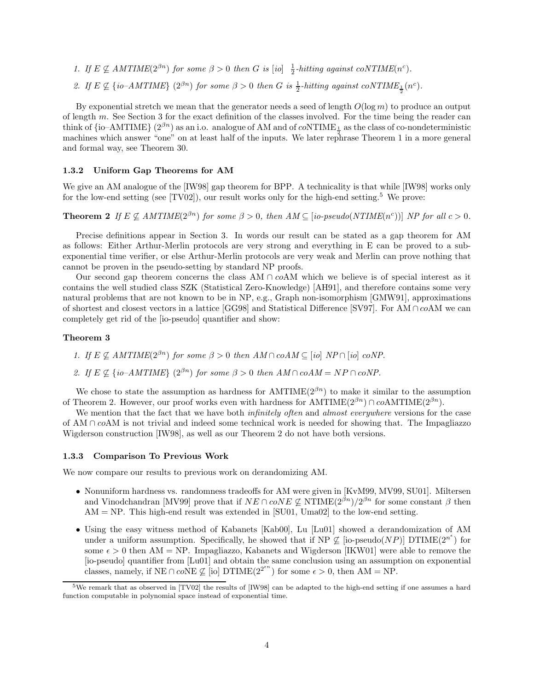- 1. If  $E \nsubseteq AMTIME(2^{\beta n})$  for some  $\beta > 0$  then G is [io]  $\frac{1}{2}$ -hitting against coNTIME(n<sup>c</sup>).
- 2. If  $E \nsubseteq \{io-AMTIME\}$   $(2^{\beta n})$  for some  $\beta > 0$  then G is  $\frac{1}{2}$ -hitting against  $coNTIME_{\frac{1}{2}}(n^c)$ .

By exponential stretch we mean that the generator needs a seed of length  $O(\log m)$  to produce an output of length m. See Section 3 for the exact definition of the classes involved. For the time being the reader can think of  $\{io-AMTIME\}$  ( $2^{\beta n}$ ) as an i.o. analogue of AM and of  $coNTIME_{\frac{1}{2}}$  as the class of co-nondeterministic machines which answer "one" on at least half of the inputs. We later rephrase Theorem 1 in a more general and formal way, see Theorem 30.

### 1.3.2 Uniform Gap Theorems for AM

We give an AM analogue of the [IW98] gap theorem for BPP. A technicality is that while [IW98] works only for the low-end setting (see  $[TV02]$ ), our result works only for the high-end setting.<sup>5</sup> We prove:

**Theorem 2** If  $E \not\subseteq AMTIME(2^{\beta n})$  for some  $\beta > 0$ , then  $AM \subseteq [io-pseudo(NTIME(n^c))]$  NP for all  $c > 0$ .

Precise definitions appear in Section 3. In words our result can be stated as a gap theorem for AM as follows: Either Arthur-Merlin protocols are very strong and everything in E can be proved to a subexponential time verifier, or else Arthur-Merlin protocols are very weak and Merlin can prove nothing that cannot be proven in the pseudo-setting by standard NP proofs.

Our second gap theorem concerns the class AM  $\cap$  coAM which we believe is of special interest as it contains the well studied class SZK (Statistical Zero-Knowledge) [AH91], and therefore contains some very natural problems that are not known to be in NP, e.g., Graph non-isomorphism [GMW91], approximations of shortest and closest vectors in a lattice [GG98] and Statistical Difference [SV97]. For AM ∩ coAM we can completely get rid of the [io-pseudo] quantifier and show:

#### Theorem 3

1. If  $E \nsubseteq AMTIME(2^{\beta n})$  for some  $\beta > 0$  then  $AM \cap coAM \subseteq [io] NP \cap [io] coNP$ .

2. If  $E \nsubseteq \{io-AMTIME\}$   $(2^{\beta n})$  for some  $\beta > 0$  then  $AM \cap coAM = NP \cap coNP$ .

We chose to state the assumption as hardness for  $AMTIME(2^{\beta n})$  to make it similar to the assumption of Theorem 2. However, our proof works even with hardness for  $AMTIME(2^{\beta n}) \cap coAMTIME(2^{\beta n})$ .

We mention that the fact that we have both *infinitely often* and *almost everywhere* versions for the case of AM ∩ coAM is not trivial and indeed some technical work is needed for showing that. The Impagliazzo Wigderson construction [IW98], as well as our Theorem 2 do not have both versions.

#### 1.3.3 Comparison To Previous Work

We now compare our results to previous work on derandomizing AM.

- Nonuniform hardness vs. randomness tradeoffs for AM were given in [KvM99, MV99, SU01]. Miltersen and Vinodchandran [MV99] prove that if  $NE \cap coNE \not\subseteq \text{NTIME}(2^{\beta n})/2^{\beta n}$  for some constant  $\beta$  then  $AM = NP$ . This high-end result was extended in [SU01, Uma02] to the low-end setting.
- Using the easy witness method of Kabanets [Kab00], Lu [Lu01] showed a derandomization of AM under a uniform assumption. Specifically, he showed that if  $NP \not\subseteq$  [io-pseudo( $NP$ )] DTIME( $2^{n^e}$ ) for some  $\epsilon > 0$  then AM = NP. Impagliazzo, Kabanets and Wigderson [IKW01] were able to remove the [io-pseudo] quantifier from [Lu01] and obtain the same conclusion using an assumption on exponential classes, namely, if  $NE \cap coNE \not\subseteq [io] DTIME(2^{2^{en}})$  for some  $\epsilon > 0$ , then  $AM = NP$ .

<sup>5</sup>We remark that as observed in [TV02] the results of [IW98] can be adapted to the high-end setting if one assumes a hard function computable in polynomial space instead of exponential time.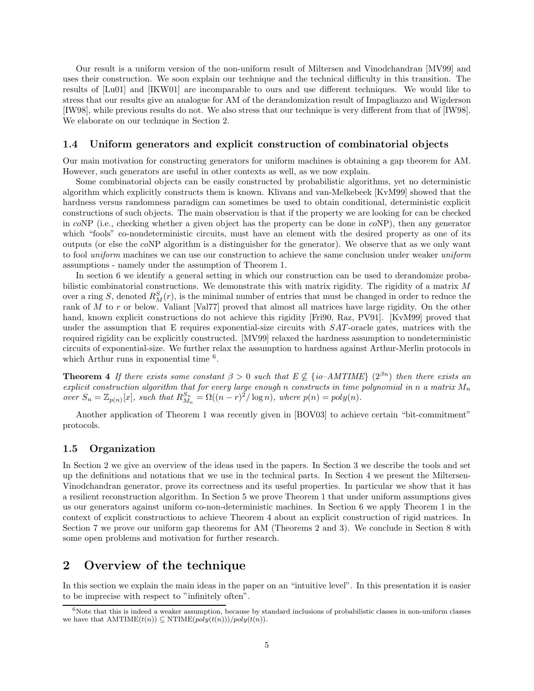Our result is a uniform version of the non-uniform result of Miltersen and Vinodchandran [MV99] and uses their construction. We soon explain our technique and the technical difficulty in this transition. The results of [Lu01] and [IKW01] are incomparable to ours and use different techniques. We would like to stress that our results give an analogue for AM of the derandomization result of Impagliazzo and Wigderson [IW98], while previous results do not. We also stress that our technique is very different from that of [IW98]. We elaborate on our technique in Section 2.

### 1.4 Uniform generators and explicit construction of combinatorial objects

Our main motivation for constructing generators for uniform machines is obtaining a gap theorem for AM. However, such generators are useful in other contexts as well, as we now explain.

Some combinatorial objects can be easily constructed by probabilistic algorithms, yet no deterministic algorithm which explicitly constructs them is known. Klivans and van-Melkebeek [KvM99] showed that the hardness versus randomness paradigm can sometimes be used to obtain conditional, deterministic explicit constructions of such objects. The main observation is that if the property we are looking for can be checked in coNP (i.e., checking whether a given object has the property can be done in coNP), then any generator which "fools" co-nondeterministic circuits, must have an element with the desired property as one of its outputs (or else the coNP algorithm is a distinguisher for the generator). We observe that as we only want to fool uniform machines we can use our construction to achieve the same conclusion under weaker uniform assumptions - namely under the assumption of Theorem 1.

In section 6 we identify a general setting in which our construction can be used to derandomize probabilistic combinatorial constructions. We demonstrate this with matrix rigidity. The rigidity of a matrix M over a ring S, denoted  $R_M^S(r)$ , is the minimal number of entries that must be changed in order to reduce the rank of M to r or below. Valiant [Val77] proved that almost all matrices have large rigidity. On the other hand, known explicit constructions do not achieve this rigidity [Fri90, Raz, PV91]. [KvM99] proved that under the assumption that E requires exponential-size circuits with SAT -oracle gates, matrices with the required rigidity can be explicitly constructed. [MV99] relaxed the hardness assumption to nondeterministic circuits of exponential-size. We further relax the assumption to hardness against Arthur-Merlin protocols in which Arthur runs in exponential time  $6$ .

**Theorem 4** If there exists some constant  $\beta > 0$  such that  $E \nsubseteq \{io-AMTIME\}$  ( $2^{\beta n}$ ) then there exists an explicit construction algorithm that for every large enough n constructs in time polynomial in n a matrix  $M_n$ over  $S_n = \mathbb{Z}_{p(n)}[x]$ , such that  $R_{M_n}^{S_n} = \Omega((n-r)^2/\log n)$ , where  $p(n) = poly(n)$ .

Another application of Theorem 1 was recently given in [BOV03] to achieve certain "bit-commitment" protocols.

## 1.5 Organization

In Section 2 we give an overview of the ideas used in the papers. In Section 3 we describe the tools and set up the definitions and notations that we use in the technical parts. In Section 4 we present the Miltersen-Vinodchandran generator, prove its correctness and its useful properties. In particular we show that it has a resilient reconstruction algorithm. In Section 5 we prove Theorem 1 that under uniform assumptions gives us our generators against uniform co-non-deterministic machines. In Section 6 we apply Theorem 1 in the context of explicit constructions to achieve Theorem 4 about an explicit construction of rigid matrices. In Section 7 we prove our uniform gap theorems for AM (Theorems 2 and 3). We conclude in Section 8 with some open problems and motivation for further research.

## 2 Overview of the technique

In this section we explain the main ideas in the paper on an "intuitive level". In this presentation it is easier to be imprecise with respect to "infinitely often".

 $6$ Note that this is indeed a weaker assumption, because by standard inclusions of probabilistic classes in non-uniform classes we have that  $AMTIME(t(n)) \subseteq NTIME(poly(t(n)))/poly(t(n)).$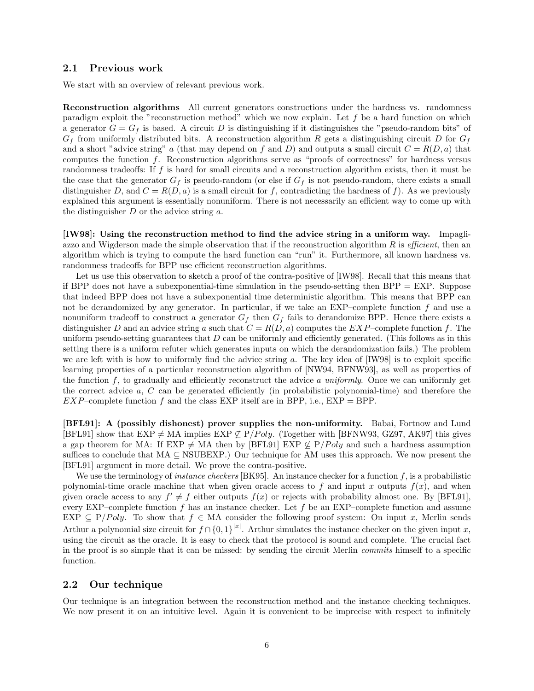#### 2.1 Previous work

We start with an overview of relevant previous work.

Reconstruction algorithms All current generators constructions under the hardness vs. randomness paradigm exploit the "reconstruction method" which we now explain. Let  $f$  be a hard function on which a generator  $G = G_f$  is based. A circuit D is distinguishing if it distinguishes the "pseudo-random bits" of  $G_f$  from uniformly distributed bits. A reconstruction algorithm R gets a distinguishing circuit D for  $G_f$ and a short "advice string" a (that may depend on f and D) and outputs a small circuit  $C = R(D, a)$  that computes the function f. Reconstruction algorithms serve as "proofs of correctness" for hardness versus randomness tradeoffs: If f is hard for small circuits and a reconstruction algorithm exists, then it must be the case that the generator  $G_f$  is pseudo-random (or else if  $G_f$  is not pseudo-random, there exists a small distinguisher D, and  $C = R(D, a)$  is a small circuit for f, contradicting the hardness of f). As we previously explained this argument is essentially nonuniform. There is not necessarily an efficient way to come up with the distinguisher  $D$  or the advice string  $a$ .

[IW98]: Using the reconstruction method to find the advice string in a uniform way. Impagliazzo and Wigderson made the simple observation that if the reconstruction algorithm  $R$  is *efficient*, then an algorithm which is trying to compute the hard function can "run" it. Furthermore, all known hardness vs. randomness tradeoffs for BPP use efficient reconstruction algorithms.

Let us use this observation to sketch a proof of the contra-positive of [IW98]. Recall that this means that if BPP does not have a subexponential-time simulation in the pseudo-setting then  $BPP = EXP$ . Suppose that indeed BPP does not have a subexponential time deterministic algorithm. This means that BPP can not be derandomized by any generator. In particular, if we take an EXP–complete function  $f$  and use a nonuniform tradeoff to construct a generator  $G_f$  then  $G_f$  fails to derandomize BPP. Hence there exists a distinguisher D and an advice string a such that  $C = R(D, a)$  computes the  $EXP$ -complete function f. The uniform pseudo-setting guarantees that  $D$  can be uniformly and efficiently generated. (This follows as in this setting there is a uniform refuter which generates inputs on which the derandomization fails.) The problem we are left with is how to uniformly find the advice string  $a$ . The key idea of  $[IW98]$  is to exploit specific learning properties of a particular reconstruction algorithm of [NW94, BFNW93], as well as properties of the function f, to gradually and efficiently reconstruct the advice a uniformly. Once we can uniformly get the correct advice  $a, C$  can be generated efficiently (in probabilistic polynomial-time) and therefore the  $EXP$ -complete function f and the class EXP itself are in BPP, i.e.,  $EXP = BPP$ .

[BFL91]: A (possibly dishonest) prover supplies the non-uniformity. Babai, Fortnow and Lund [BFL91] show that  $EXP \neq MA$  implies  $EXP \not\subseteq P/Poly$ . (Together with [BFNW93, GZ97, AK97] this gives a gap theorem for MA: If EXP  $\neq$  MA then by [BFL91] EXP  $\&set P\$  Poly and such a hardness assumption suffices to conclude that  $MA \subseteq NSUBEXP$ .) Our technique for AM uses this approach. We now present the [BFL91] argument in more detail. We prove the contra-positive.

We use the terminology of *instance checkers* [BK95]. An instance checker for a function f, is a probabilistic polynomial-time oracle machine that when given oracle access to f and input x outputs  $f(x)$ , and when given oracle access to any  $f' \neq f$  either outputs  $f(x)$  or rejects with probability almost one. By [BFL91], every EXP–complete function  $f$  has an instance checker. Let  $f$  be an EXP–complete function and assume EXP  $\subseteq$  P/Poly. To show that  $f \in MA$  consider the following proof system: On input x, Merlin sends Arthur a polynomial size circuit for  $f \cap \{0,1\}^{|x|}$ . Arthur simulates the instance checker on the given input x, using the circuit as the oracle. It is easy to check that the protocol is sound and complete. The crucial fact in the proof is so simple that it can be missed: by sending the circuit Merlin commits himself to a specific function.

## 2.2 Our technique

Our technique is an integration between the reconstruction method and the instance checking techniques. We now present it on an intuitive level. Again it is convenient to be imprecise with respect to infinitely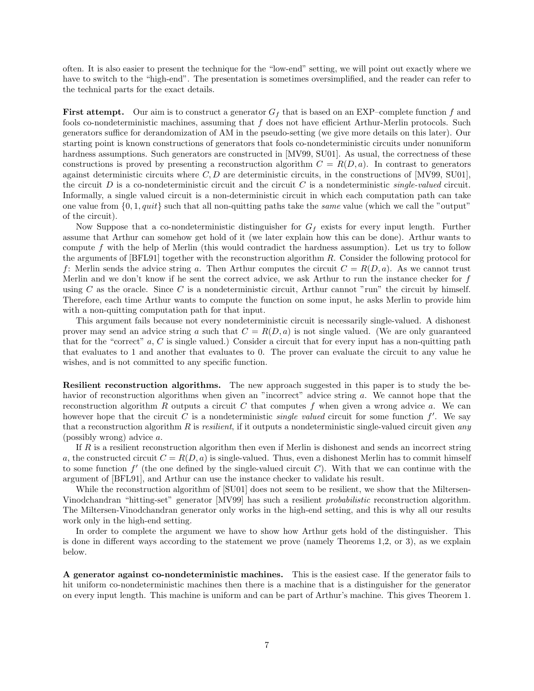often. It is also easier to present the technique for the "low-end" setting, we will point out exactly where we have to switch to the "high-end". The presentation is sometimes oversimplified, and the reader can refer to the technical parts for the exact details.

**First attempt.** Our aim is to construct a generator  $G_f$  that is based on an EXP–complete function f and fools co-nondeterministic machines, assuming that f does not have efficient Arthur-Merlin protocols. Such generators suffice for derandomization of AM in the pseudo-setting (we give more details on this later). Our starting point is known constructions of generators that fools co-nondeterministic circuits under nonuniform hardness assumptions. Such generators are constructed in [MV99, SU01]. As usual, the correctness of these constructions is proved by presenting a reconstruction algorithm  $C = R(D, a)$ . In contrast to generators against deterministic circuits where  $C, D$  are deterministic circuits, in the constructions of [MV99, SU01], the circuit D is a co-nondeterministic circuit and the circuit C is a nondeterministic *single-valued* circuit. Informally, a single valued circuit is a non-deterministic circuit in which each computation path can take one value from  $\{0, 1, quit\}$  such that all non-quitting paths take the *same* value (which we call the "output" of the circuit).

Now Suppose that a co-nondeterministic distinguisher for  $G_f$  exists for every input length. Further assume that Arthur can somehow get hold of it (we later explain how this can be done). Arthur wants to compute  $f$  with the help of Merlin (this would contradict the hardness assumption). Let us try to follow the arguments of [BFL91] together with the reconstruction algorithm R. Consider the following protocol for f: Merlin sends the advice string a. Then Arthur computes the circuit  $C = R(D, a)$ . As we cannot trust Merlin and we don't know if he sent the correct advice, we ask Arthur to run the instance checker for f using C as the oracle. Since C is a nondeterministic circuit, Arthur cannot "run" the circuit by himself. Therefore, each time Arthur wants to compute the function on some input, he asks Merlin to provide him with a non-quitting computation path for that input.

This argument fails because not every nondeterministic circuit is necessarily single-valued. A dishonest prover may send an advice string a such that  $C = R(D, a)$  is not single valued. (We are only guaranteed that for the "correct"  $a, C$  is single valued.) Consider a circuit that for every input has a non-quitting path that evaluates to 1 and another that evaluates to 0. The prover can evaluate the circuit to any value he wishes, and is not committed to any specific function.

Resilient reconstruction algorithms. The new approach suggested in this paper is to study the behavior of reconstruction algorithms when given an "incorrect" advice string a. We cannot hope that the reconstruction algorithm R outputs a circuit C that computes f when given a wrong advice  $a$ . We can however hope that the circuit C is a nondeterministic *single valued* circuit for some function  $f'$ . We say that a reconstruction algorithm  $R$  is resilient, if it outputs a nondeterministic single-valued circuit given any (possibly wrong) advice a.

If  $R$  is a resilient reconstruction algorithm then even if Merlin is dishonest and sends an incorrect string a, the constructed circuit  $C = R(D, a)$  is single-valued. Thus, even a dishonest Merlin has to commit himself to some function  $f'$  (the one defined by the single-valued circuit  $C$ ). With that we can continue with the argument of [BFL91], and Arthur can use the instance checker to validate his result.

While the reconstruction algorithm of  $[SU01]$  does not seem to be resilient, we show that the Miltersen-Vinodchandran "hitting-set" generator [MV99] has such a resilient probabilistic reconstruction algorithm. The Miltersen-Vinodchandran generator only works in the high-end setting, and this is why all our results work only in the high-end setting.

In order to complete the argument we have to show how Arthur gets hold of the distinguisher. This is done in different ways according to the statement we prove (namely Theorems 1,2, or 3), as we explain below.

A generator against co-nondeterministic machines. This is the easiest case. If the generator fails to hit uniform co-nondeterministic machines then there is a machine that is a distinguisher for the generator on every input length. This machine is uniform and can be part of Arthur's machine. This gives Theorem 1.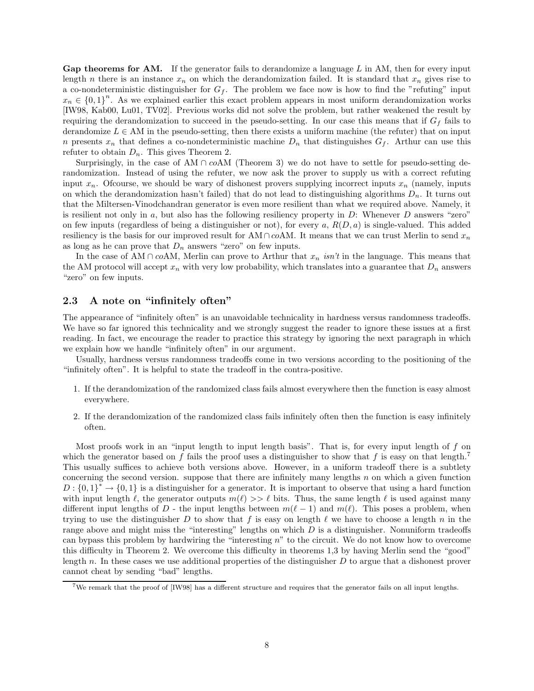Gap theorems for AM. If the generator fails to derandomize a language  $L$  in AM, then for every input length n there is an instance  $x_n$  on which the derandomization failed. It is standard that  $x_n$  gives rise to a co-nondeterministic distinguisher for  $G_f$ . The problem we face now is how to find the "refuting" input  $x_n \in \{0,1\}^n$ . As we explained earlier this exact problem appears in most uniform derandomization works [IW98, Kab00, Lu01, TV02]. Previous works did not solve the problem, but rather weakened the result by requiring the derandomization to succeed in the pseudo-setting. In our case this means that if  $G_f$  fails to derandomize  $L \in AM$  in the pseudo-setting, then there exists a uniform machine (the refuter) that on input n presents  $x_n$  that defines a co-nondeterministic machine  $D_n$  that distinguishes  $G_f$ . Arthur can use this refuter to obtain  $D_n$ . This gives Theorem 2.

Surprisingly, in the case of AM  $\cap$  coAM (Theorem 3) we do not have to settle for pseudo-setting derandomization. Instead of using the refuter, we now ask the prover to supply us with a correct refuting input  $x_n$ . Ofcourse, we should be wary of dishonest provers supplying incorrect inputs  $x_n$  (namely, inputs on which the derandomization hasn't failed) that do not lead to distinguishing algorithms  $D_n$ . It turns out that the Miltersen-Vinodchandran generator is even more resilient than what we required above. Namely, it is resilient not only in  $a$ , but also has the following resiliency property in  $D$ : Whenever  $D$  answers "zero" on few inputs (regardless of being a distinguisher or not), for every a,  $R(D, a)$  is single-valued. This added resiliency is the basis for our improved result for AM ∩ coAM. It means that we can trust Merlin to send  $x_n$ as long as he can prove that  $D_n$  answers "zero" on few inputs.

In the case of AM ∩ coAM, Merlin can prove to Arthur that  $x_n$  isn't in the language. This means that the AM protocol will accept  $x_n$  with very low probability, which translates into a guarantee that  $D_n$  answers "zero" on few inputs.

## 2.3 A note on "infinitely often"

The appearance of "infinitely often" is an unavoidable technicality in hardness versus randomness tradeoffs. We have so far ignored this technicality and we strongly suggest the reader to ignore these issues at a first reading. In fact, we encourage the reader to practice this strategy by ignoring the next paragraph in which we explain how we handle "infinitely often" in our argument.

Usually, hardness versus randomness tradeoffs come in two versions according to the positioning of the "infinitely often". It is helpful to state the tradeoff in the contra-positive.

- 1. If the derandomization of the randomized class fails almost everywhere then the function is easy almost everywhere.
- 2. If the derandomization of the randomized class fails infinitely often then the function is easy infinitely often.

Most proofs work in an "input length to input length basis". That is, for every input length of  $f$  on which the generator based on f fails the proof uses a distinguisher to show that f is easy on that length.<sup>7</sup> This usually suffices to achieve both versions above. However, in a uniform tradeoff there is a subtlety concerning the second version. suppose that there are infinitely many lengths  $n$  on which a given function  $D: \{0,1\}^* \to \{0,1\}$  is a distinguisher for a generator. It is important to observe that using a hard function with input length  $\ell$ , the generator outputs  $m(\ell) >> \ell$  bits. Thus, the same length  $\ell$  is used against many different input lengths of D - the input lengths between  $m(\ell - 1)$  and  $m(\ell)$ . This poses a problem, when trying to use the distinguisher D to show that f is easy on length  $\ell$  we have to choose a length n in the range above and might miss the "interesting" lengths on which  $D$  is a distinguisher. Nonuniform tradeoffs can bypass this problem by hardwiring the "interesting n" to the circuit. We do not know how to overcome this difficulty in Theorem 2. We overcome this difficulty in theorems 1,3 by having Merlin send the "good" length n. In these cases we use additional properties of the distinguisher D to argue that a dishonest prover cannot cheat by sending "bad" lengths.

<sup>7</sup>We remark that the proof of [IW98] has a different structure and requires that the generator fails on all input lengths.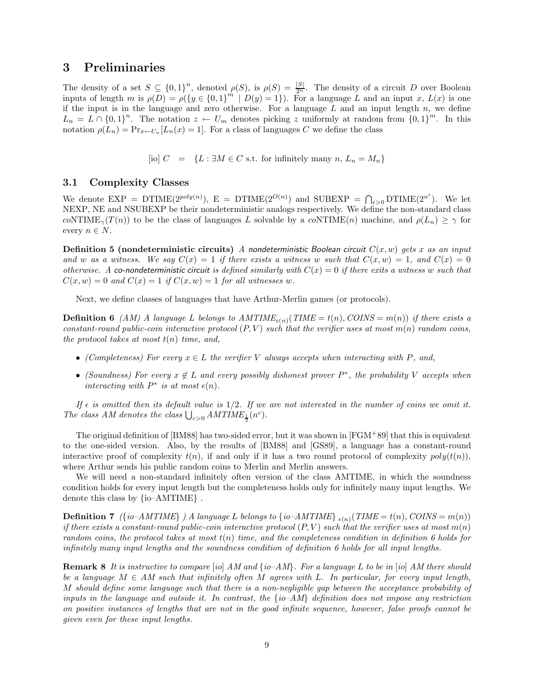## 3 Preliminaries

The density of a set  $S \subseteq \{0,1\}^n$ , denoted  $\rho(S)$ , is  $\rho(S) = \frac{|S|}{2^n}$ . The density of a circuit D over Boolean inputs of length m is  $\rho(D) = \rho({y \in {0,1}^m \mid D(y) = 1})$ . For a language L and an input x,  $L(x)$  is one if the input is in the language and zero otherwise. For a language  $L$  and an input length  $n$ , we define  $L_n = L \cap \{0,1\}^n$ . The notation  $z \leftarrow U_m$  denotes picking z uniformly at random from  $\{0,1\}^m$ . In this notation  $\rho(L_n) = \Pr_{x \leftarrow U_n}[L_n(x) = 1]$ . For a class of languages C we define the class

[io]  $C = \{L : \exists M \in C \text{ s.t. for infinitely many } n, L_n = M_n\}$ 

## 3.1 Complexity Classes

We denote  $\text{EXP} = \text{DTIME}(2^{poly(n)})$ ,  $E = \text{DTIME}(2^{O(n)})$  and  $\text{SUBEXP} = \bigcap_{\epsilon > 0} \text{DTIME}(2^{n^{\epsilon}})$ . We let NEXP, NE and NSUBEXP be their nondeterministic analogs respectively. We define the non-standard class coNTIME<sub> $\gamma(T(n))$ </sub> to be the class of languages L solvable by a coNTIME(n) machine, and  $\rho(L_n) \geq \gamma$  for every  $n \in N$ .

**Definition 5** (nondeterministic circuits) A nondeterministic Boolean circuit  $C(x, w)$  gets x as an input and w as a witness. We say  $C(x) = 1$  if there exists a witness w such that  $C(x, w) = 1$ , and  $C(x) = 0$ otherwise. A co-nondeterministic circuit is defined similarly with  $C(x) = 0$  if there exits a witness w such that  $C(x, w) = 0$  and  $C(x) = 1$  if  $C(x, w) = 1$  for all witnesses w.

Next, we define classes of languages that have Arthur-Merlin games (or protocols).

**Definition 6** (AM) A language L belongs to  $AMTIME_{\epsilon(n)}(TIME = t(n), Collins = m(n))$  if there exists a constant-round public-coin interactive protocol  $(P, V)$  such that the verifier uses at most  $m(n)$  random coins, the protocol takes at most  $t(n)$  time, and,

- (Completeness) For every  $x \in L$  the verifier V always accepts when interacting with P, and,
- (Soundness) For every  $x \notin L$  and every possibly dishonest prover  $P^*$ , the probability V accepts when interacting with  $P^*$  is at most  $\epsilon(n)$ .

If  $\epsilon$  is omitted then its default value is 1/2. If we are not interested in the number of coins we omit it. The class AM denotes the class  $\bigcup_{c>0} AMTIME_{\frac{1}{2}}(n^{c})$ .

The original definition of [BM88] has two-sided error, but it was shown in [FGM<sup>+</sup>89] that this is equivalent to the one-sided version. Also, by the results of [BM88] and [GS89], a language has a constant-round interactive proof of complexity  $t(n)$ , if and only if it has a two round protocol of complexity  $poly(t(n))$ , where Arthur sends his public random coins to Merlin and Merlin answers.

We will need a non-standard infinitely often version of the class AMTIME, in which the soundness condition holds for every input length but the completeness holds only for infinitely many input lengths. We denote this class by {io–AMTIME} .

**Definition 7** ({io–AMTIME} ) A language L belongs to {io–AMTIME}  $_{\epsilon(n)}(TIME = t(n), CONS = m(n))$ if there exists a constant-round public-coin interactive protocol  $(P, V)$  such that the verifier uses at most  $m(n)$ random coins, the protocol takes at most  $t(n)$  time, and the completeness condition in definition 6 holds for infinitely many input lengths and the soundness condition of definition 6 holds for all input lengths.

**Remark 8** It is instructive to compare [io] AM and  $\{io-AM\}$ . For a language L to be in [io] AM there should be a language  $M \in AM$  such that infinitely often M agrees with L. In particular, for every input length, M should define some language such that there is a non-negligible gap between the acceptance probability of inputs in the language and outside it. In contrast, the  $\{io-AM\}$  definition does not impose any restriction on positive instances of lengths that are not in the good infinite sequence, however, false proofs cannot be given even for these input lengths.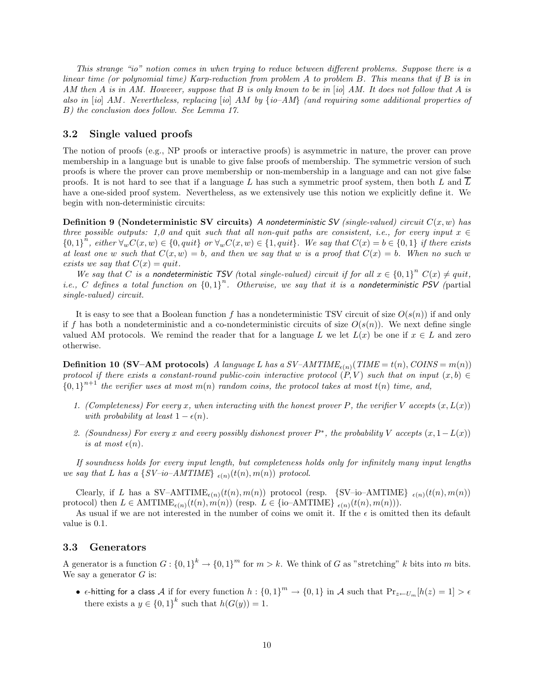This strange "io" notion comes in when trying to reduce between different problems. Suppose there is a linear time (or polynomial time) Karp-reduction from problem  $A$  to problem  $B$ . This means that if  $B$  is in AM then A is in AM. However, suppose that B is only known to be in [io] AM. It does not follow that A is also in [io] AM. Nevertheless, replacing [io] AM by  $\{io-AM\}$  (and requiring some additional properties of B) the conclusion does follow. See Lemma 17.

## 3.2 Single valued proofs

The notion of proofs (e.g., NP proofs or interactive proofs) is asymmetric in nature, the prover can prove membership in a language but is unable to give false proofs of membership. The symmetric version of such proofs is where the prover can prove membership or non-membership in a language and can not give false proofs. It is not hard to see that if a language  $L$  has such a symmetric proof system, then both  $L$  and  $L$ have a one-sided proof system. Nevertheless, as we extensively use this notion we explicitly define it. We begin with non-deterministic circuits:

**Definition 9 (Nondeterministic SV circuits)** A nondeterministic SV (single-valued) circuit  $C(x, w)$  has three possible outputs: 1,0 and quit such that all non-quit paths are consistent, i.e., for every input  $x \in$  ${0,1}^n$ , either  $\forall_w C(x,w) \in {0,quit}$  or  $\forall_w C(x,w) \in {1, quit}$ . We say that  $C(x) = b \in {0,1}$  if there exists at least one w such that  $C(x, w) = b$ , and then we say that w is a proof that  $C(x) = b$ . When no such w exists we say that  $C(x) = quit$ .

We say that C is a nondeterministic TSV (total single-valued) circuit if for all  $x \in \{0,1\}^n$   $C(x) \neq quit$ , *i.e.*, C defines a total function on  ${0,1}^n$ . Otherwise, we say that it is a nondeterministic PSV (partial single-valued) circuit.

It is easy to see that a Boolean function f has a nondeterministic TSV circuit of size  $O(s(n))$  if and only if f has both a nondeterministic and a co-nondeterministic circuits of size  $O(s(n))$ . We next define single valued AM protocols. We remind the reader that for a language L we let  $L(x)$  be one if  $x \in L$  and zero otherwise.

**Definition 10 (SV–AM protocols)** A language L has a  $SV$ – $AMTIME_{\epsilon(n)}(TIME = t(n), COINS = m(n))$ protocol if there exists a constant-round public-coin interactive protocol  $(P, V)$  such that on input  $(x, b) \in$  ${0,1}^{n+1}$  the verifier uses at most  $m(n)$  random coins, the protocol takes at most  $t(n)$  time, and,

- 1. (Completeness) For every x, when interacting with the honest prover P, the verifier V accepts  $(x, L(x))$ with probability at least  $1 - \epsilon(n)$ .
- 2. (Soundness) For every x and every possibly dishonest prover  $P^*$ , the probability V accepts  $(x, 1 L(x))$ is at most  $\epsilon(n)$ .

If soundness holds for every input length, but completeness holds only for infinitely many input lengths we say that L has a  $\{SV-i\text{o}-AMTIME\}_{\epsilon(n)}(t(n), m(n))$  protocol.

Clearly, if L has a SV-AMTIME<sub> $\epsilon(n)$ </sub> $(t(n), m(n))$  protocol (resp. {SV-io-AMTIME}  $_{\epsilon(n)}(t(n), m(n))$ protocol) then  $L \in \text{AMTIME}_{\epsilon(n)}(t(n), m(n))$  (resp.  $L \in \{\text{io-AMTIME}\}_{\epsilon(n)}(t(n), m(n))$ ).

As usual if we are not interested in the number of coins we omit it. If the  $\epsilon$  is omitted then its default value is 0.1.

### 3.3 Generators

A generator is a function  $G: \{0,1\}^k \to \{0,1\}^m$  for  $m > k$ . We think of G as "stretching" k bits into m bits. We say a generator  $G$  is:

•  $\epsilon$ -hitting for a class A if for every function  $h: \{0,1\}^m \to \{0,1\}$  in A such that  $\Pr_{z \leftarrow U_m}[h(z) = 1] > \epsilon$ there exists a  $y \in \{0,1\}^k$  such that  $h(G(y)) = 1$ .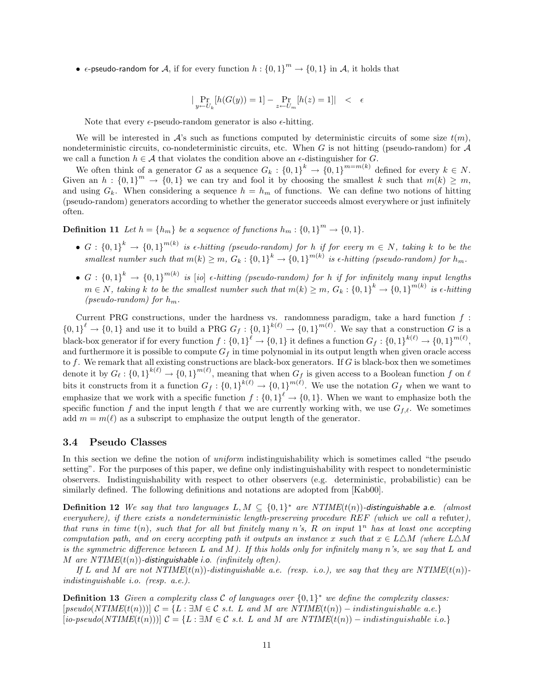•  $\epsilon$ -pseudo-random for  $\mathcal{A}$ , if for every function  $h: \{0,1\}^m \to \{0,1\}$  in  $\mathcal{A}$ , it holds that

$$
|\Pr_{y \leftarrow U_k}[h(G(y)) = 1] - \Pr_{z \leftarrow U_m}[h(z) = 1]| \quad < \quad \epsilon
$$

Note that every  $\epsilon$ -pseudo-random generator is also  $\epsilon$ -hitting.

We will be interested in  $\mathcal{A}$ 's such as functions computed by deterministic circuits of some size  $t(m)$ , nondeterministic circuits, co-nondeterministic circuits, etc. When  $G$  is not hitting (pseudo-random) for  $A$ we call a function  $h \in \mathcal{A}$  that violates the condition above an  $\epsilon$ -distinguisher for G.

We often think of a generator G as a sequence  $G_k: \{0,1\}^k \to \{0,1\}^{m=m(k)}$  defined for every  $k \in N$ . Given an  $h: \{0,1\}^m \to \{0,1\}$  we can try and fool it by choosing the smallest k such that  $m(k) \geq m$ , and using  $G_k$ . When considering a sequence  $h = h_m$  of functions. We can define two notions of hitting (pseudo-random) generators according to whether the generator succeeds almost everywhere or just infinitely often.

**Definition 11** Let  $h = \{h_m\}$  be a sequence of functions  $h_m : \{0, 1\}^m \to \{0, 1\}.$ 

- $G: \{0,1\}^k$  →  $\{0,1\}^{m(k)}$  is  $\epsilon$ -hitting (pseudo-random) for h if for every  $m \in N$ , taking k to be the smallest number such that  $m(k) \ge m$ ,  $G_k$ :  ${0,1}^k \rightarrow {0,1}^{m(k)}$  is  $\epsilon$ -hitting (pseudo-random) for  $h_m$ .
- $\bullet$   $G: \{0,1\}^k \rightarrow \{0,1\}^{m(k)}$  is [io]  $\epsilon$ -hitting (pseudo-random) for h if for infinitely many input lengths  $m \in N$ , taking k to be the smallest number such that  $m(k) \ge m$ ,  $G_k$ :  $\{0,1\}^k \to \{0,1\}^{m(k)}$  is  $\epsilon$ -hitting (pseudo-random) for  $h_m$ .

Current PRG constructions, under the hardness vs. randomness paradigm, take a hard function  $f$ :  ${0,1}^{\ell} \rightarrow {0,1}$  and use it to build a PRG  $G_f: {0,1}^{k(\ell)} \rightarrow {0,1}^{m(\ell)}$ . We say that a construction G is a black-box generator if for every function  $f: \{0,1\}^{\ell} \to \{0,1\}$  it defines a function  $G_f: \{0,1\}^{k(\ell)} \to \{0,1\}^{m(\ell)}$ , and furthermore it is possible to compute  $G_f$  in time polynomial in its output length when given oracle access to  $f$ . We remark that all existing constructions are black-box generators. If  $G$  is black-box then we sometimes denote it by  $G_{\ell} : \{0,1\}^{k(\ell)} \to \{0,1\}^{m(\ell)}$ , meaning that when  $G_{f}$  is given access to a Boolean function f on  $\ell$ bits it constructs from it a function  $G_f: \{0,1\}^{k(\ell)} \to \{0,1\}^{m(\ell)}$ . We use the notation  $G_f$  when we want to emphasize that we work with a specific function  $f: \{0,1\}^{\ell} \to \{0,1\}$ . When we want to emphasize both the specific function f and the input length  $\ell$  that we are currently working with, we use  $G_{f,\ell}$ . We sometimes add  $m = m(\ell)$  as a subscript to emphasize the output length of the generator.

### 3.4 Pseudo Classes

In this section we define the notion of *uniform* indistinguishability which is sometimes called "the pseudo setting". For the purposes of this paper, we define only indistinguishability with respect to nondeterministic observers. Indistinguishability with respect to other observers (e.g. deterministic, probabilistic) can be similarly defined. The following definitions and notations are adopted from [Kab00].

**Definition 12** We say that two languages  $L, M \subseteq \{0, 1\}^*$  are NTIME( $t(n)$ )-distinguishable a.e. (almost everywhere), if there exists a nondeterministic length-preserving procedure REF (which we call a refuter), that runs in time  $t(n)$ , such that for all but finitely many n's, R on input  $1^n$  has at least one accepting computation path, and on every accepting path it outputs an instance x such that  $x \in L\Delta M$  (where  $L\Delta M$ is the symmetric difference between L and M). If this holds only for infinitely many  $n$ 's, we say that L and M are  $NTIME(t(n))$ -distinguishable i.o. (infinitely often).

If L and M are not  $NTIME(t(n))$ -distinguishable a.e. (resp. i.o.), we say that they are  $NTIME(t(n))$ indistinguishable i.o. (resp. a.e.).

**Definition 13** Given a complexity class C of languages over  $\{0,1\}^*$  we define the complexity classes:  $[pseudo(NTIME(t(n)))] \mathcal{C} = \{L : \exists M \in \mathcal{C} \text{ s.t. } L \text{ and } M \text{ are } NTIME(t(n)) - indistinguishable a.e.\}$  $[io-pseudo(NTIME(t(n)))]$   $C = \{L : \exists M \in \mathcal{C} \text{ s.t. } L \text{ and } M \text{ are } NTIME(t(n)) - indistinguishable i.o.\}$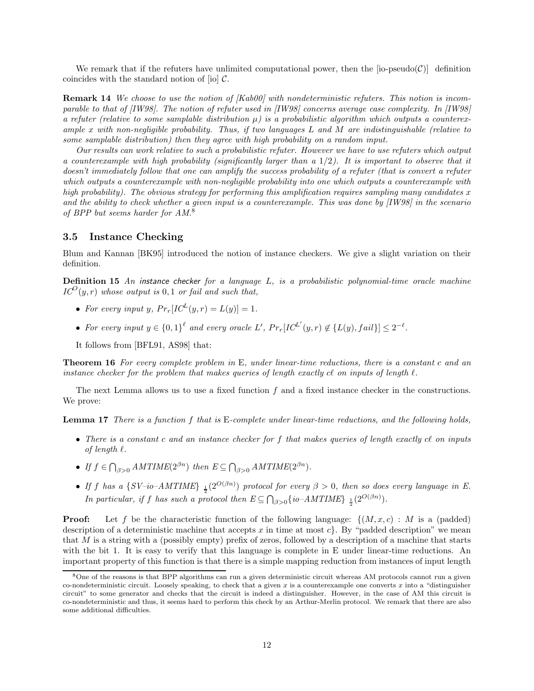We remark that if the refuters have unlimited computational power, then the  $[io-pseudo(C)]$  definition coincides with the standard notion of  $[$ io $]$   $C$ .

Remark 14 We choose to use the notion of [Kab00] with nondeterministic refuters. This notion is incomparable to that of [IW98]. The notion of refuter used in [IW98] concerns average case complexity. In [IW98] a refuter (relative to some samplable distribution  $\mu$ ) is a probabilistic algorithm which outputs a counterexample x with non-negligible probability. Thus, if two languages  $L$  and  $M$  are indistinguishable (relative to some samplable distribution) then they agree with high probability on a random input.

Our results can work relative to such a probabilistic refuter. However we have to use refuters which output a counterexample with high probability (significantly larger than a  $1/2$ ). It is important to observe that it doesn't immediately follow that one can amplify the success probability of a refuter (that is convert a refuter which outputs a counterexample with non-negligible probability into one which outputs a counterexample with high probability). The obvious strategy for performing this amplification requires sampling many candidates x and the ability to check whether a given input is a counterexample. This was done by [IW98] in the scenario of BPP but seems harder for AM.<sup>8</sup>

### 3.5 Instance Checking

Blum and Kannan [BK95] introduced the notion of instance checkers. We give a slight variation on their definition.

Definition 15 An instance checker for a language L, is a probabilistic polynomial-time oracle machine  $IC^{O}(y,r)$  whose output is 0, 1 or fail and such that,

- For every input y,  $Pr_r[IC^L(y, r) = L(y)] = 1$ .
- For every input  $y \in \{0,1\}^{\ell}$  and every oracle L',  $Pr_r[IC^{L'}(y,r) \notin \{L(y), fail\}] \leq 2^{-\ell}$ .
- It follows from [BFL91, AS98] that:

Theorem 16 For every complete problem in E, under linear-time reductions, there is a constant c and an instance checker for the problem that makes queries of length exactly  $cl$  on inputs of length  $\ell$ .

The next Lemma allows us to use a fixed function  $f$  and a fixed instance checker in the constructions. We prove:

Lemma 17 There is a function f that is E-complete under linear-time reductions, and the following holds,

- There is a constant c and an instance checker for  $f$  that makes queries of length exactly c $\ell$  on inputs of length  $\ell$ .
- If  $f \in \bigcap_{\beta>0} AMTIME(2^{\beta n})$  then  $E \subseteq \bigcap_{\beta>0} AMTIME(2^{\beta n})$ .
- If f has a {SV-io-AMTIME}  $_{\frac{1}{2}}(2^{O(\beta n)})$  protocol for every  $\beta > 0$ , then so does every language in E. In particular, if f has such a protocol then  $E \subseteq \bigcap_{\beta>0} \{io-AMTIME\}$   $\frac{1}{2}(2^{O(\beta n)})$ .

**Proof:** Let f be the characteristic function of the following language:  $\{(M, x, c) : M \text{ is a (padded)}\}$ description of a deterministic machine that accepts x in time at most  $c$ . By "padded description" we mean that M is a string with a (possibly empty) prefix of zeros, followed by a description of a machine that starts with the bit 1. It is easy to verify that this language is complete in E under linear-time reductions. An important property of this function is that there is a simple mapping reduction from instances of input length

<sup>8</sup>One of the reasons is that BPP algorithms can run a given deterministic circuit whereas AM protocols cannot run a given co-nondeterministic circuit. Loosely speaking, to check that a given x is a counterexample one converts x into a "distinguisher" circuit" to some generator and checks that the circuit is indeed a distinguisher. However, in the case of AM this circuit is co-nondeterministic and thus, it seems hard to perform this check by an Arthur-Merlin protocol. We remark that there are also some additional difficulties.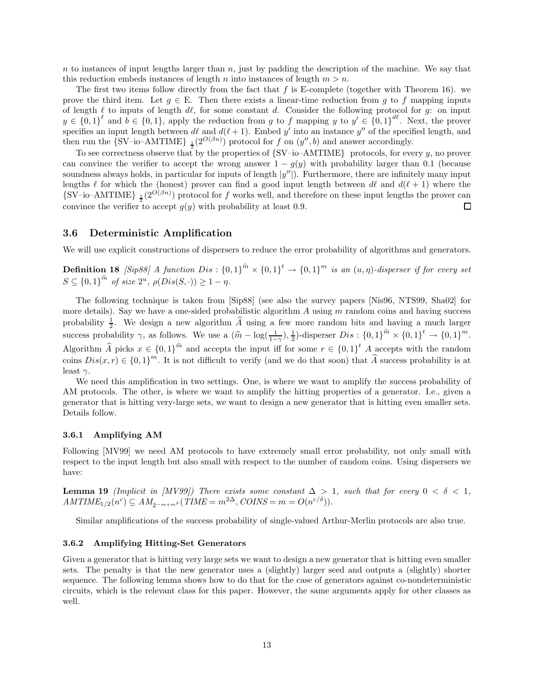$n$  to instances of input lengths larger than n, just by padding the description of the machine. We say that this reduction embeds instances of length n into instances of length  $m > n$ .

The first two items follow directly from the fact that f is E-complete (together with Theorem 16). we prove the third item. Let  $g \in E$ . Then there exists a linear-time reduction from g to f mapping inputs of length  $\ell$  to inputs of length  $d\ell$ , for some constant d. Consider the following protocol for g: on input  $y \in \{0,1\}^{\ell}$  and  $b \in \{0,1\}$ , apply the reduction from g to f mapping y to  $y' \in \{0,1\}^{\ell\ell}$ . Next, the prover specifies an input length between  $d\ell$  and  $d(\ell + 1)$ . Embed y' into an instance y'' of the specified length, and then run the {SV-io-AMTIME}  $_{\frac{1}{2}}(2^{O(\beta n)})$  protocol for f on  $(y'', b)$  and answer accordingly.

To see correctness observe that by the properties of  $\{SV-io-AMTIME\}$  protocols, for every y, no prover can convince the verifier to accept the wrong answer  $1 - g(y)$  with probability larger than 0.1 (because soundness always holds, in particular for inputs of length  $|y''|$ ). Furthermore, there are infinitely many input lengths  $\ell$  for which the (honest) prover can find a good input length between d $\ell$  and  $d(\ell + 1)$  where the  $\{SV-io-AMTIME\}$   $\frac{1}{2}(2^{O(\beta n)})$  protocol for f works well, and therefore on these input lengths the prover can convince the verifier to accept  $g(y)$  with probability at least 0.9.  $\Box$ 

#### 3.6 Deterministic Amplification

We will use explicit constructions of dispersers to reduce the error probability of algorithms and generators.

**Definition 18** [Sip88] A function Dis:  ${0,1}^{\hat{m}} \times {0,1}^t \rightarrow {0,1}^m$  is an  $(u, \eta)$ -disperser if for every set  $S \subseteq \{0,1\}^{\hat{m}}$  of size  $2^u$ ,  $\rho(Dis(S, \cdot)) \geq 1 - \eta$ .

The following technique is taken from [Sip88] (see also the survey papers [Nis96, NTS99, Sha02] for more details). Say we have a one-sided probabilistic algorithm  $A$  using  $m$  random coins and having success probability  $\frac{1}{2}$ . We design a new algorithm  $\widehat{A}$  using a few more random bits and having a much larger success probability  $\gamma$ , as follows. We use a  $(\hat{m} - \log(\frac{1}{1-\gamma}), \frac{1}{2})$ -disperser  $Dis : \{0,1\}^{\hat{m}} \times \{0,1\}^t \to \{0,1\}^m$ . Algorithm  $\widehat{A}$  picks  $x \in \{0,1\}^{\widehat{m}}$  and accepts the input iff for some  $r \in \{0,1\}^t$  A accepts with the random coins  $Dis(x, r) \in \{0, 1\}^m$ . It is not difficult to verify (and we do that soon) that  $\widehat{A}$  success probability is at least  $\gamma$ .

We need this amplification in two settings. One, is where we want to amplify the success probability of AM protocols. The other, is where we want to amplify the hitting properties of a generator. I.e., given a generator that is hitting very-large sets, we want to design a new generator that is hitting even smaller sets. Details follow.

#### 3.6.1 Amplifying AM

Following [MV99] we need AM protocols to have extremely small error probability, not only small with respect to the input length but also small with respect to the number of random coins. Using dispersers we have:

**Lemma 19** (Implicit in [MV99]) There exists some constant  $\Delta > 1$ , such that for every  $0 < \delta < 1$ ,  $AMTIME_{1/2}(n^c) \subseteq AM_{2^{-m+m\delta}}(TIME = m^{2\Delta}, COINS = m = O(n^{c/\delta})).$ 

Similar amplifications of the success probability of single-valued Arthur-Merlin protocols are also true.

#### 3.6.2 Amplifying Hitting-Set Generators

Given a generator that is hitting very large sets we want to design a new generator that is hitting even smaller sets. The penalty is that the new generator uses a (slightly) larger seed and outputs a (slightly) shorter sequence. The following lemma shows how to do that for the case of generators against co-nondeterministic circuits, which is the relevant class for this paper. However, the same arguments apply for other classes as well.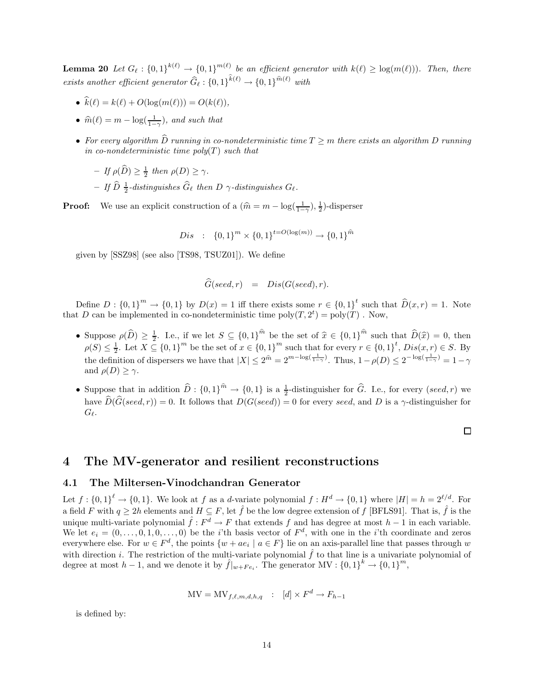**Lemma 20** Let  $G_{\ell} : \{0, 1\}^{k(\ell)} \to \{0, 1\}^{m(\ell)}$  be an efficient generator with  $k(\ell) \geq \log(m(\ell))$ . Then, there exists another efficient generator  $\widehat{G}_{\ell} : \{0, 1\}^{k(\ell)} \to \{0, 1\}^{\widehat{m}(\ell)}$  with

- $\hat{k}(\ell) = k(\ell) + O(\log(m(\ell))) = O(k(\ell)),$
- $\widehat{m}(\ell) = m \log(\frac{1}{1-\gamma})$ , and such that
- For every algorithm  $\hat{D}$  running in co-nondeterministic time  $T \geq m$  there exists an algorithm D running in co-nondeterministic time  $poly(T)$  such that
	- $-If \rho(\widehat{D}) \geq \frac{1}{2}$  then  $\rho(D) \geq \gamma$ .
	- $-$  If  $\widehat{D}$   $\frac{1}{2}$ -distinguishes  $\widehat{G}_\ell$  then D  $\gamma$ -distinguishes  $G_\ell$ .

**Proof:** We use an explicit construction of a  $(\hat{m} = m - \log(\frac{1}{1-\gamma}), \frac{1}{2})$ -disperser

$$
Dis : \{0,1\}^m \times \{0,1\}^{t=O(\log(m))} \to \{0,1\}^{\hat{m}}
$$

given by [SSZ98] (see also [TS98, TSUZ01]). We define

$$
\widehat{G}(seed, r) = Dis(G(seed), r).
$$

Define  $D: \{0,1\}^m \to \{0,1\}$  by  $D(x) = 1$  iff there exists some  $r \in \{0,1\}^t$  such that  $\widehat{D}(x,r) = 1$ . Note that D can be implemented in co-nondeterministic time  $\text{poly}(T, 2^t) = \text{poly}(T)$ . Now,

- Suppose  $\rho(\widehat{D}) \geq \frac{1}{2}$ . I.e., if we let  $S \subseteq \{0,1\}^{\widehat{m}}$  be the set of  $\widehat{x} \in \{0,1\}^{\widehat{m}}$  such that  $\widehat{D}(\widehat{x}) = 0$ , then  $\rho(S) \leq \frac{1}{2}$ . Let  $X \subseteq \{0,1\}^m$  be the set of  $x \in \{0,1\}^m$  such that for every  $r \in \{0,1\}^t$ ,  $Dis(x,r) \in S$ . By the definition of dispersers we have that  $|X| \le 2^{\hat{m}} = 2^{m-\log(\frac{1}{1-\gamma})}$ . Thus,  $1-\rho(D) \le 2^{-\log(\frac{1}{1-\gamma})} = 1-\gamma$ and  $\rho(D) \geq \gamma$ .
- Suppose that in addition  $\widehat{D}$  :  ${0, 1}^{\widehat{m}} \to {0, 1}$  is a  $\frac{1}{2}$ -distinguisher for  $\widehat{G}$ . I.e., for every (seed, r) we have  $\widehat{D}(\widehat{G}(seed, r)) = 0$ . It follows that  $D(G(seed)) = 0$  for every seed, and D is a  $\gamma$ -distinguisher for  $G_{\ell}$ .

#### $\Box$

## 4 The MV-generator and resilient reconstructions

#### 4.1 The Miltersen-Vinodchandran Generator

Let  $f: \{0,1\}^{\ell} \to \{0,1\}$ . We look at f as a d-variate polynomial  $f: H^d \to \{0,1\}$  where  $|H| = h = 2^{\ell/d}$ . For a field F with  $q \ge 2h$  elements and  $H \subseteq F$ , let  $\hat{f}$  be the low degree extension of f [BFLS91]. That is,  $\hat{f}$  is the unique multi-variate polynomial  $\hat{f}: F^d \to F$  that extends f and has degree at most  $h-1$  in each variable. We let  $e_i = (0, \ldots, 0, 1, 0, \ldots, 0)$  be the *i*'th basis vector of  $F^d$ , with one in the *i*'th coordinate and zeros everywhere else. For  $w \in F^d$ , the points  $\{w + ae_i \mid a \in F\}$  lie on an axis-parallel line that passes through w with direction i. The restriction of the multi-variate polynomial  $\hat{f}$  to that line is a univariate polynomial of degree at most  $h-1$ , and we denote it by  $\hat{f}|_{w+Fe_i}$ . The generator MV :  $\{0,1\}^k \to \{0,1\}^m$ ,

$$
MV = MV_{f,\ell,m,d,h,q} : [d] \times F^d \to F_{h-1}
$$

is defined by: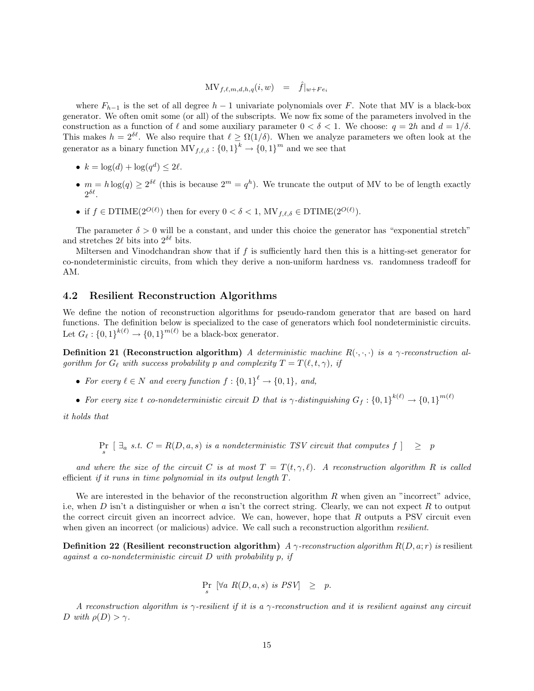$$
\mathbf{MV}_{f,\ell,m,d,h,q}(i,w) = \hat{f}|_{w + Fe_i}
$$

where  $F_{h-1}$  is the set of all degree  $h-1$  univariate polynomials over F. Note that MV is a black-box generator. We often omit some (or all) of the subscripts. We now fix some of the parameters involved in the construction as a function of  $\ell$  and some auxiliary parameter  $0 < \delta < 1$ . We choose:  $q = 2h$  and  $d = 1/\delta$ . This makes  $h = 2^{\delta \ell}$ . We also require that  $\ell \geq \Omega(1/\delta)$ . When we analyze parameters we often look at the generator as a binary function  $\mathrm{MV}_{f,\ell,\delta} : \{0, 1\}^k \to \{0, 1\}^m$  and we see that

- $k = \log(d) + \log(q^d) \leq 2\ell$ .
- $m = h \log(q) \geq 2^{\delta \ell}$  (this is because  $2^m = q^h$ ). We truncate the output of MV to be of length exactly 2  $\delta\ell$ .
- if  $f \in \text{DTIME}(2^{O(\ell)})$  then for every  $0 < \delta < 1$ ,  $\text{MV}_{f,\ell,\delta} \in \text{DTIME}(2^{O(\ell)})$ .

The parameter  $\delta > 0$  will be a constant, and under this choice the generator has "exponential stretch" and stretches  $2\ell$  bits into  $2^{\delta\ell}$  bits.

Miltersen and Vinodchandran show that if  $f$  is sufficiently hard then this is a hitting-set generator for co-nondeterministic circuits, from which they derive a non-uniform hardness vs. randomness tradeoff for AM.

### 4.2 Resilient Reconstruction Algorithms

We define the notion of reconstruction algorithms for pseudo-random generator that are based on hard functions. The definition below is specialized to the case of generators which fool nondeterministic circuits. Let  $G_{\ell} : \{0, 1\}^{k(\ell)} \to \{0, 1\}^{m(\ell)}$  be a black-box generator.

Definition 21 (Reconstruction algorithm) A deterministic machine  $R(\cdot, \cdot, \cdot)$  is a  $\gamma$ -reconstruction algorithm for  $G_\ell$  with success probability p and complexity  $T = T(\ell, t, \gamma)$ , if

- For every  $\ell \in N$  and every function  $f: \{0,1\}^{\ell} \to \{0,1\}$ , and,
- For every size t co-nondeterministic circuit D that is  $\gamma$ -distinguishing  $G_f: \{0,1\}^{k(\ell)} \to \{0,1\}^{m(\ell)}$

it holds that

 $Pr_s$   $\left[\exists_a s.t. \ C = R(D,a,s) \text{ is a nondeterministic } TSV \text{ circuit that computes } f\right] \geq p$ 

and where the size of the circuit C is at most  $T = T(t, \gamma, \ell)$ . A reconstruction algorithm R is called efficient if it runs in time polynomial in its output length T .

We are interested in the behavior of the reconstruction algorithm  $R$  when given an "incorrect" advice, i.e, when D isn't a distinguisher or when a isn't the correct string. Clearly, we can not expect R to output the correct circuit given an incorrect advice. We can, however, hope that  $R$  outputs a PSV circuit even when given an incorrect (or malicious) advice. We call such a reconstruction algorithm *resilient*.

**Definition 22 (Resilient reconstruction algorithm)**  $A \gamma$ -reconstruction algorithm  $R(D, a; r)$  is resilient against a co-nondeterministic circuit D with probability p, if

$$
\Pr_s \; [\forall a \; R(D,a,s) \; \text{is} \; PSV] \;\; \geq \;\; p.
$$

A reconstruction algorithm is  $\gamma$ -resilient if it is a  $\gamma$ -reconstruction and it is resilient against any circuit D with  $\rho(D) > \gamma$ .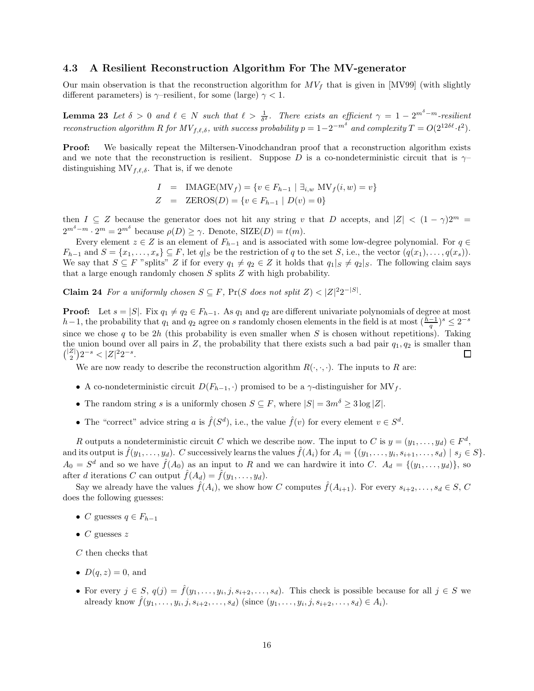### 4.3 A Resilient Reconstruction Algorithm For The MV-generator

Our main observation is that the reconstruction algorithm for  $MV_f$  that is given in [MV99] (with slightly different parameters) is  $\gamma$ –resilient, for some (large)  $\gamma$  < 1.

**Lemma 23** Let  $\delta > 0$  and  $\ell \in N$  such that  $\ell > \frac{1}{\delta^2}$ . There exists an efficient  $\gamma = 1 - 2^{m\delta - m}$ -resilient reconstruction algorithm R for  $MV_{f,\ell,\delta}$ , with success probability  $p = 1 - 2^{-m\delta}$  and complexity  $T = O(2^{12\delta\ell} \cdot t^2)$ .

**Proof:** We basically repeat the Miltersen-Vinodchandran proof that a reconstruction algorithm exists and we note that the reconstruction is resilient. Suppose D is a co-nondeterministic circuit that is  $\gamma$ distinguishing  $MV_{f,\ell,\delta}$ . That is, if we denote

$$
I = \text{IMAGE}(\text{MV}_f) = \{v \in F_{h-1} \mid \exists_{i,w} \text{ MV}_f(i,w) = v\}
$$
  

$$
Z = \text{ZEROS}(D) = \{v \in F_{h-1} \mid D(v) = 0\}
$$

then  $I \subseteq Z$  because the generator does not hit any string v that D accepts, and  $|Z| < (1 - \gamma)2^m$  $2^{m^{\delta}-m} \cdot 2^m = 2^{m^{\delta}}$  because  $\rho(D) \geq \gamma$ . Denote, SIZE(*D*) =  $t(m)$ .

Every element  $z \in Z$  is an element of  $F_{h-1}$  and is associated with some low-degree polynomial. For  $q \in$  $F_{h-1}$  and  $S = \{x_1, \ldots, x_s\} \subseteq F$ , let  $q|_S$  be the restriction of q to the set S, i.e., the vector  $(q(x_1), \ldots, q(x_s))$ . We say that  $S \subseteq F$  "splits" Z if for every  $q_1 \neq q_2 \in Z$  it holds that  $q_1|_S \neq q_2|_S$ . The following claim says that a large enough randomly chosen S splits Z with high probability.

**Claim 24** For a uniformly chosen  $S \subseteq F$ ,  $Pr(S$  does not split  $Z) < |Z|^2 2^{-|S|}$ .

**Proof:** Let  $s = |S|$ . Fix  $q_1 \neq q_2 \in F_{h-1}$ . As  $q_1$  and  $q_2$  are different univariate polynomials of degree at most h−1, the probability that  $q_1$  and  $q_2$  agree on s randomly chosen elements in the field is at most  $(\frac{h-1}{q})^s \leq 2^{-s}$ since we chose q to be  $2h$  (this probability is even smaller when S is chosen without repetitions). Taking the union bound over all pairs in  $Z$ , the probability that there exists such a bad pair  $q_1, q_2$  is smaller than  $\binom{|Z|}{2} 2^{-s} < |Z|^2 2^{-s}.$ □

We are now ready to describe the reconstruction algorithm  $R(\cdot, \cdot, \cdot)$ . The inputs to R are:

- A co-nondeterministic circuit  $D(F_{h-1},.)$  promised to be a  $\gamma$ -distinguisher for  $MV_f$ .
- The random string s is a uniformly chosen  $S \subseteq F$ , where  $|S| = 3m^{\delta} \geq 3 \log |Z|$ .
- The "correct" advice string a is  $\hat{f}(S^d)$ , i.e., the value  $\hat{f}(v)$  for every element  $v \in S^d$ .

R outputs a nondeterministic circuit C which we describe now. The input to C is  $y = (y_1, \ldots, y_d) \in F^d$ , and its output is  $\hat{f}(y_1,\ldots,y_d)$ . C successively learns the values  $\hat{f}(A_i)$  for  $A_i = \{(y_1,\ldots,y_i,s_{i+1},\ldots,s_d) \mid s_j \in S\}$ .  $A_0 = S^d$  and so we have  $\hat{f}(A_0)$  as an input to R and we can hardwire it into C.  $A_d = \{(y_1, \ldots, y_d)\}\)$ , so after d iterations C can output  $\hat{f}(A_d) = \hat{f}(y_1, \ldots, y_d)$ .

Say we already have the values  $\hat{f}(A_i)$ , we show how C computes  $\hat{f}(A_{i+1})$ . For every  $s_{i+2}, \ldots, s_d \in S$ , C does the following guesses:

- C guesses  $q \in F_{h-1}$
- $C$  guesses  $z$

C then checks that

- $D(q, z) = 0$ , and
- For every  $j \in S$ ,  $q(j) = \hat{f}(y_1, \ldots, y_i, j, s_{i+2}, \ldots, s_d)$ . This check is possible because for all  $j \in S$  we already know  $\hat{f}(y_1, ..., y_i, j, s_{i+2}, ..., s_d)$  (since  $(y_1, ..., y_i, j, s_{i+2}, ..., s_d) \in A_i$ ).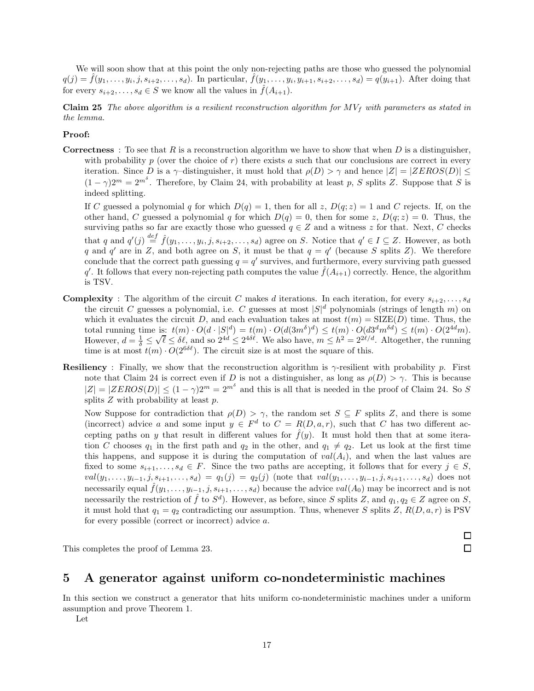We will soon show that at this point the only non-rejecting paths are those who guessed the polynomial  $q(j) = \hat{f}(y_1, \ldots, y_i, j, s_{i+2}, \ldots, s_d)$ . In particular,  $\hat{f}(y_1, \ldots, y_i, y_{i+1}, s_{i+2}, \ldots, s_d) = q(y_{i+1})$ . After doing that for every  $s_{i+2}, \ldots, s_d \in S$  we know all the values in  $\hat{f}(A_{i+1})$ .

**Claim 25** The above algorithm is a resilient reconstruction algorithm for  $MV_f$  with parameters as stated in the lemma.

#### Proof:

**Correctness** : To see that R is a reconstruction algorithm we have to show that when D is a distinguisher, with probability p (over the choice of r) there exists a such that our conclusions are correct in every iteration. Since D is a  $\gamma$ -distinguisher, it must hold that  $\rho(D) > \gamma$  and hence  $|Z| = |ZEROS(D)| \le$  $(1 - \gamma)2^m = 2^{m^{\delta}}$ . Therefore, by Claim 24, with probability at least p, S splits Z. Suppose that S is indeed splitting.

If C guessed a polynomial q for which  $D(q) = 1$ , then for all z,  $D(q; z) = 1$  and C rejects. If, on the other hand, C guessed a polynomial q for which  $D(q) = 0$ , then for some z,  $D(q; z) = 0$ . Thus, the surviving paths so far are exactly those who guessed  $q \in \mathbb{Z}$  and a witness z for that. Next, C checks that q and  $q'(j) \stackrel{def}{=} \hat{f}(y_1,\ldots,y_i,j,s_{i+2},\ldots,s_d)$  agree on S. Notice that  $q' \in I \subseteq Z$ . However, as both q and q' are in Z, and both agree on S, it must be that  $q = q'$  (because S splits Z). We therefore conclude that the correct path guessing  $q = q'$  survives, and furthermore, every surviving path guessed q'. It follows that every non-rejecting path computes the value  $\hat{f}(A_{i+1})$  correctly. Hence, the algorithm is TSV.

- **Complexity** : The algorithm of the circuit C makes d iterations. In each iteration, for every  $s_{i+2}, \ldots, s_d$ the circuit C guesses a polynomial, i.e. C guesses at most  $|S|^d$  polynomials (strings of length m) on which it evaluates the circuit D, and each evaluation takes at most  $t(m) = \text{SIZE}(D)$  time. Thus, the total running time is:  $t(m) \cdot O(d \cdot |S|^d) = t(m) \cdot O(d(3m^{\delta})^d) \leq t(m) \cdot O(d3^d m^{\delta d}) \leq t(m) \cdot O(2^{4d} m)$ . However,  $d = \frac{1}{\delta} \leq$  $\sqrt{\ell} \leq \delta \ell$ , and so  $2^{4d} \leq 2^{4\delta \ell}$ . We also have,  $m \leq h^2 = 2^{2\ell/d}$ . Altogether, the running time is at most  $t(m) \cdot O(2^{6\delta \ell})$ . The circuit size is at most the square of this.
- **Resiliency**: Finally, we show that the reconstruction algorithm is  $\gamma$ -resilient with probability p. First note that Claim 24 is correct even if D is not a distinguisher, as long as  $\rho(D) > \gamma$ . This is because  $|Z| = |ZEROS(D)| \leq (1 - \gamma)2^m = 2^{m\delta}$  and this is all that is needed in the proof of Claim 24. So S splits  $Z$  with probability at least  $p$ .

Now Suppose for contradiction that  $\rho(D) > \gamma$ , the random set  $S \subseteq F$  splits Z, and there is some (incorrect) advice a and some input  $y \in F^d$  to  $C = R(D, a, r)$ , such that C has two different accepting paths on y that result in different values for  $\hat{f}(y)$ . It must hold then that at some iteration C chooses  $q_1$  in the first path and  $q_2$  in the other, and  $q_1 \neq q_2$ . Let us look at the first time this happens, and suppose it is during the computation of  $val(A_i)$ , and when the last values are fixed to some  $s_{i+1}, \ldots, s_d \in F$ . Since the two paths are accepting, it follows that for every  $j \in S$ ,  $val(y_1, \ldots, y_{i-1}, j, s_{i+1}, \ldots, s_d) = q_1(j) = q_2(j)$  (note that  $val(y_1, \ldots, y_{i-1}, j, s_{i+1}, \ldots, s_d)$ ) does not necessarily equal  $\hat{f}(y_1,\ldots,y_{i-1},j,s_{i+1},\ldots,s_d)$  because the advice  $val(A_0)$  may be incorrect and is not necessarily the restriction of  $\hat{f}$  to  $S^d$ ). However, as before, since S splits Z, and  $q_1, q_2 \in Z$  agree on S, it must hold that  $q_1 = q_2$  contradicting our assumption. Thus, whenever S splits Z,  $R(D, a, r)$  is PSV for every possible (correct or incorrect) advice a.

> 口  $\Box$

This completes the proof of Lemma 23.

## 5 A generator against uniform co-nondeterministic machines

In this section we construct a generator that hits uniform co-nondeterministic machines under a uniform assumption and prove Theorem 1.

Let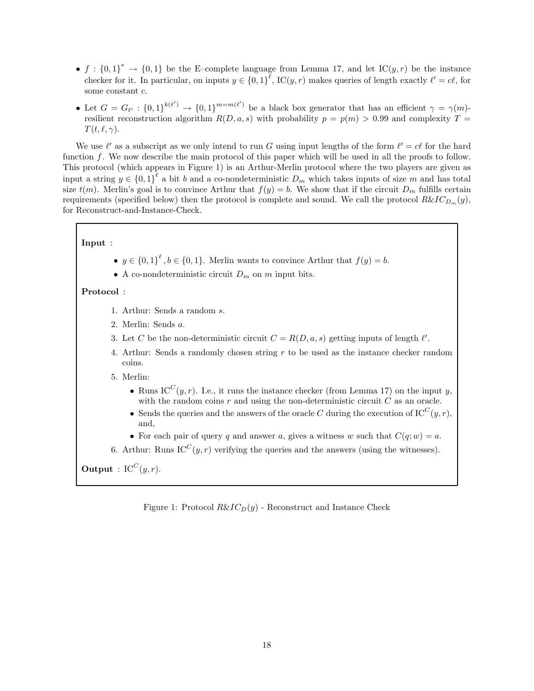- $f: \{0,1\}^* \to \{0,1\}$  be the E-complete language from Lemma 17, and let  $\mathcal{IC}(y,r)$  be the instance checker for it. In particular, on inputs  $y \in \{0,1\}^{\ell}$ , IC $(y,r)$  makes queries of length exactly  $\ell' = c\ell$ , for some constant c.
- Let  $G = G_{\ell'} : \{0, 1\}^{k(\ell')} \to \{0, 1\}^{m = m(\ell')}$  be a black box generator that has an efficient  $\gamma = \gamma(m)$ resilient reconstruction algorithm  $R(D, a, s)$  with probability  $p = p(m) > 0.99$  and complexity  $T =$  $T(t, \ell, \gamma)$ .

We use  $\ell'$  as a subscript as we only intend to run G using input lengths of the form  $\ell' = c\ell$  for the hard function f. We now describe the main protocol of this paper which will be used in all the proofs to follow. This protocol (which appears in Figure 1) is an Arthur-Merlin protocol where the two players are given as input a string  $y \in \{0,1\}^{\ell}$  a bit b and a co-nondeterministic  $D_m$  which takes inputs of size m and has total size  $t(m)$ . Merlin's goal is to convince Arthur that  $f(y) = b$ . We show that if the circuit  $D_m$  fulfills certain requirements (specified below) then the protocol is complete and sound. We call the protocol  $R\&IC_{D_m}(y)$ , for Reconstruct-and-Instance-Check.

### Input :

- $y \in \{0,1\}^{\ell}, b \in \{0,1\}$ . Merlin wants to convince Arthur that  $f(y) = b$ .
- A co-nondeterministic circuit  $D_m$  on m input bits.

### Protocol :

- 1. Arthur: Sends a random s.
- 2. Merlin: Sends a.
- 3. Let C be the non-deterministic circuit  $C = R(D, a, s)$  getting inputs of length  $l'$ .
- 4. Arthur: Sends a randomly chosen string r to be used as the instance checker random coins.
- 5. Merlin:
	- Runs IC<sup>C</sup> $(y, r)$ . I.e., it runs the instance checker (from Lemma 17) on the input y, with the random coins  $r$  and using the non-deterministic circuit  $C$  as an oracle.
	- Sends the queries and the answers of the oracle C during the execution of  $IC^C(y, r)$ , and,
	- For each pair of query q and answer a, gives a witness w such that  $C(q; w) = a$ .
- 6. Arthur: Runs  $IC^{C}(y, r)$  verifying the queries and the answers (using the witnesses).

**Output** :  $IC^C(y,r)$ .

Figure 1: Protocol  $R\&IC_D(y)$  - Reconstruct and Instance Check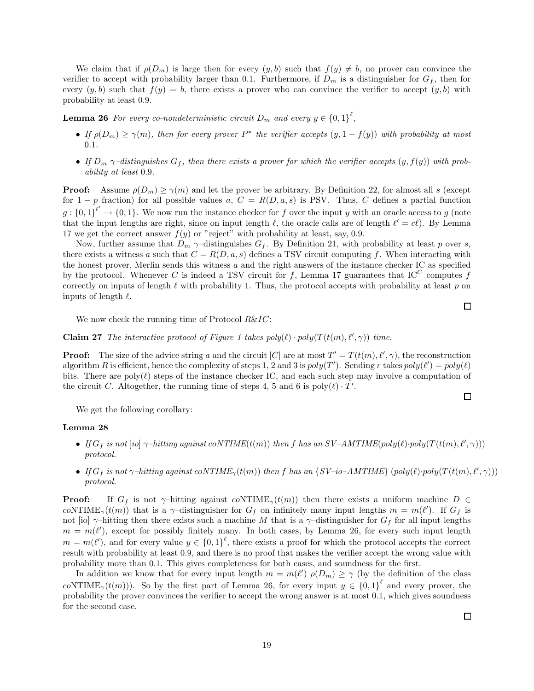We claim that if  $\rho(D_m)$  is large then for every  $(y, b)$  such that  $f(y) \neq b$ , no prover can convince the verifier to accept with probability larger than 0.1. Furthermore, if  $D_m$  is a distinguisher for  $G_f$ , then for every  $(y, b)$  such that  $f(y) = b$ , there exists a prover who can convince the verifier to accept  $(y, b)$  with probability at least 0.9.

**Lemma 26** For every co-nondeterministic circuit  $D_m$  and every  $y \in \{0,1\}^{\ell}$ ,

- If  $\rho(D_m) \ge \gamma(m)$ , then for every prover  $P^*$  the verifier accepts  $(y, 1 f(y))$  with probability at most 0.1.
- If  $D_m$   $\gamma$ -distinguishes  $G_f$ , then there exists a prover for which the verifier accepts  $(y, f(y))$  with probability at least 0.9.

**Proof:** Assume  $\rho(D_m) \geq \gamma(m)$  and let the prover be arbitrary. By Definition 22, for almost all s (except for 1 − p fraction) for all possible values a,  $C = R(D, a, s)$  is PSV. Thus, C defines a partial function  $g: \{0,1\}^{\ell'} \to \{0,1\}$ . We now run the instance checker for f over the input y with an oracle access to g (note that the input lengths are right, since on input length  $\ell$ , the oracle calls are of length  $\ell' = c\ell$ ). By Lemma 17 we get the correct answer  $f(y)$  or "reject" with probability at least, say, 0.9.

Now, further assume that  $D_m$   $\gamma$ -distinguishes  $G_f$ . By Definition 21, with probability at least p over s, there exists a witness a such that  $C = R(D, a, s)$  defines a TSV circuit computing f. When interacting with the honest prover, Merlin sends this witness  $a$  and the right answers of the instance checker IC as specified by the protocol. Whenever C is indeed a TSV circuit for f, Lemma 17 guarantees that  $IC^C$  computes f correctly on inputs of length  $\ell$  with probability 1. Thus, the protocol accepts with probability at least  $p$  on inputs of length  $\ell$ .

We now check the running time of Protocol  $R\&IC$ :

**Claim 27** The interactive protocol of Figure 1 takes  $poly(\ell) \cdot poly(T(t(m), \ell', \gamma))$  time.

**Proof:** The size of the advice string a and the circuit  $|C|$  are at most  $T' = T(t(m), \ell', \gamma)$ , the reconstruction algorithm R is efficient, hence the complexity of steps 1, 2 and 3 is  $poly(T')$ . Sending r takes  $poly(\ell') = poly(\ell)$ bits. There are poly( $\ell$ ) steps of the instance checker IC, and each such step may involve a computation of the circuit C. Altogether, the running time of steps 4, 5 and 6 is  $poly(\ell) \cdot T'$ .

We get the following corollary:

#### Lemma 28

- If  $G_f$  is not [io]  $\gamma$ -hitting against coNTIME( $t(m)$ ) then f has an SV-AMTIME( $poly(\ell) \cdot poly(T(t(m), \ell', \gamma)))$ protocol.
- If  $G_f$  is not  $\gamma$ -hitting against  $coNTIME_{\gamma}(t(m))$  then f has an  $\{SV$ -io-AMTIME}  $(poly(\ell) \cdot poly(T(t(m), \ell', \gamma)))$ protocol.

**Proof:** If  $G_f$  is not  $\gamma$ -hitting against  $coNTIME_{\gamma}(t(m))$  then there exists a uniform machine  $D \in$ coNTIME<sub> $\gamma$ </sub>(t(m)) that is a  $\gamma$ -distinguisher for  $G_f$  on infinitely many input lengths  $m = m(\ell')$ . If  $G_f$  is not [io]  $\gamma$ –hitting then there exists such a machine M that is a  $\gamma$ –distinguisher for  $G_f$  for all input lengths  $m = m(\ell')$ , except for possibly finitely many. In both cases, by Lemma 26, for every such input length  $m = m(\ell')$ , and for every value  $y \in \{0,1\}^{\ell}$ , there exists a proof for which the protocol accepts the correct result with probability at least 0.9, and there is no proof that makes the verifier accept the wrong value with probability more than 0.1. This gives completeness for both cases, and soundness for the first.

In addition we know that for every input length  $m = m(\ell')$   $\rho(D_m) \ge \gamma$  (by the definition of the class coNTIME<sub> $\gamma$ </sub>(t(m))). So by the first part of Lemma 26, for every input  $y \in \{0,1\}^{\ell}$  and every prover, the probability the prover convinces the verifier to accept the wrong answer is at most 0.1, which gives soundness for the second case.

 $\Box$ 

 $\Box$ 

 $\Box$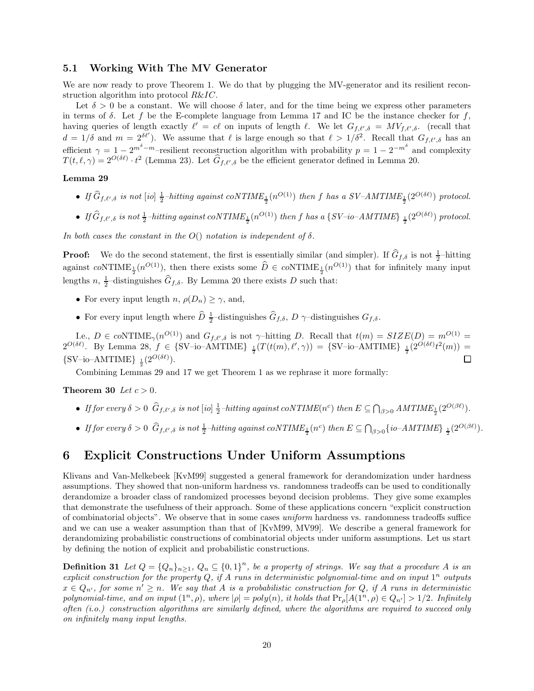### 5.1 Working With The MV Generator

We are now ready to prove Theorem 1. We do that by plugging the MV-generator and its resilient reconstruction algorithm into protocol R&IC.

Let  $\delta > 0$  be a constant. We will choose  $\delta$  later, and for the time being we express other parameters in terms of  $\delta$ . Let f be the E-complete language from Lemma 17 and IC be the instance checker for f, having queries of length exactly  $\ell' = c\ell$  on inputs of length  $\ell$ . We let  $G_{f,\ell',\delta} = MV_{f,\ell',\delta}$ . (recall that  $d = 1/\delta$  and  $m = 2^{\delta \ell'}$ ). We assume that  $\ell$  is large enough so that  $\ell > 1/\delta^2$ . Recall that  $G_{f,\ell',\delta}$  has an efficient  $\gamma = 1 - 2^{m^{\delta}-m}$ -resilient reconstruction algorithm with probability  $p = 1 - 2^{-m^{\delta}}$  and complexity  $T(t,\ell,\gamma) = 2^{O(\delta\ell)} \cdot t^2$  (Lemma 23). Let  $\hat{G}_{f,\ell',\delta}$  be the efficient generator defined in Lemma 20.

### Lemma 29

- If  $\widehat{G}_{f,\ell',\delta}$  is not  $[io]$   $\frac{1}{2}$ -hitting against coNTIME<sub>1</sub></sub>  $(n^{O(1)})$  then f has a SV-AMTIME<sub>1</sub><sup>2</sup>  $(2^{O(\delta\ell)})$  protocol.
- $\bullet$  If  $\widehat{G}_{f,\ell',\delta}$  is not  $\frac{1}{2}$ -hitting against coNTIME<sub>1</sub> (n<sup>O(1)</sup>) then f has a {SV-io-AMTIME} <sub>1</sub> (2<sup>O(8e)</sup>) protocol.

In both cases the constant in the  $O()$  notation is independent of  $\delta$ .

**Proof:** We do the second statement, the first is essentially similar (and simpler). If  $\hat{G}_{f,\delta}$  is not  $\frac{1}{2}$ -hitting against coNTIME<sub><sup>1</sup></sub> $(n^{O(1)})$ , then there exists some  $\hat{D} \in coNTIME_{\frac{1}{2}}(n^{O(1)})$  that for infinitely many input lengths  $n, \frac{1}{2}$ -distinguishes  $\widehat{G}_{f,\delta}$ . By Lemma 20 there exists D such that:

- For every input length  $n, \rho(D_n) \geq \gamma$ , and,
- For every input length where  $\hat{D}$   $\frac{1}{2}$ -distinguishes  $\hat{G}_{f,\delta}$ , D  $\gamma$ -distinguishes  $G_{f,\delta}$ .

Le.,  $D \in coNTIME_{\gamma}(n^{O(1)})$  and  $G_{f,\ell',\delta}$  is not  $\gamma$ -hitting D. Recall that  $t(m) = SIZE(D) = m^{O(1)} =$  $2^{O(\delta \ell)}$ . By Lemma 28,  $f \in \{SV$ -io-AMTIME}  $\frac{1}{2}(T(t(m), \ell', \gamma)) = \{SV$ -io-AMTIME}  $\frac{1}{2}(2^{O(\delta \ell)}t^2(m)) =$  $\text{S V-io-AMTIME} \}_{\frac{1}{2}} (2^{O(\delta \ell)})$ . П

Combining Lemmas 29 and 17 we get Theorem 1 as we rephrase it more formally:

Theorem 30 Let  $c > 0$ .

- If for every  $\delta > 0$   $\widehat{G}_{f,\ell',\delta}$  is not  $[io] \frac{1}{2}$ -hitting against coNTIME $(n^c)$  then  $E \subseteq \bigcap_{\beta > 0} AMTIME_{\frac{1}{2}}(2^{O(\beta\ell)})$ .
- If for every  $\delta > 0$   $\widehat{G}_{f,\ell',\delta}$  is not  $\frac{1}{2}$ -hitting against coNTIME<sub>1</sub> $(n^c)$  then  $E \subseteq \bigcap_{\beta > 0} \{io AMTIME\}$ <sub>1</sub> $(2^{O(\beta \ell)})$ .

## 6 Explicit Constructions Under Uniform Assumptions

Klivans and Van-Melkebeek [KvM99] suggested a general framework for derandomization under hardness assumptions. They showed that non-uniform hardness vs. randomness tradeoffs can be used to conditionally derandomize a broader class of randomized processes beyond decision problems. They give some examples that demonstrate the usefulness of their approach. Some of these applications concern "explicit construction of combinatorial objects". We observe that in some cases uniform hardness vs. randomness tradeoffs suffice and we can use a weaker assumption than that of [KvM99, MV99]. We describe a general framework for derandomizing probabilistic constructions of combinatorial objects under uniform assumptions. Let us start by defining the notion of explicit and probabilistic constructions.

**Definition 31** Let  $Q = \{Q_n\}_{n \geq 1}$ ,  $Q_n \subseteq \{0,1\}^n$ , be a property of strings. We say that a procedure A is an explicit construction for the property  $Q$ , if A runs in deterministic polynomial-time and on input  $1^n$  outputs  $x \in Q_{n'}$ , for some  $n' \geq n$ . We say that A is a probabilistic construction for Q, if A runs in deterministic polynomial-time, and on input  $(1^n, \rho)$ , where  $|\rho| = poly(n)$ , it holds that  $Pr_{\rho}[A(1^n, \rho) \in Q_{n'}] > 1/2$ . Infinitely often (i.o.) construction algorithms are similarly defined, where the algorithms are required to succeed only on infinitely many input lengths.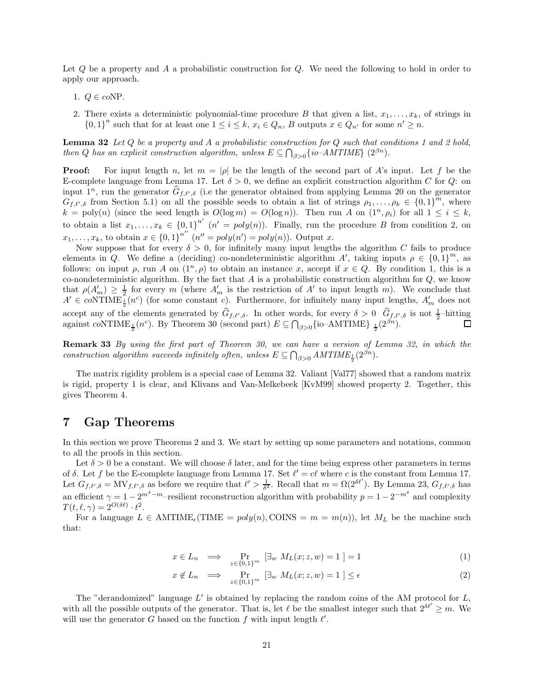Let Q be a property and A a probabilistic construction for Q. We need the following to hold in order to apply our approach.

- 1.  $Q \in coNP$ .
- 2. There exists a deterministic polynomial-time procedure B that given a list,  $x_1, \ldots, x_k$ , of strings in  ${0,1}^n$  such that for at least one  $1 \leq i \leq k$ ,  $x_i \in Q_n$ , B outputs  $x \in Q_{n'}$  for some  $n' \geq n$ .

**Lemma 32** Let  $Q$  be a property and  $A$  a probabilistic construction for  $Q$  such that conditions 1 and 2 hold, then Q has an explicit construction algorithm, unless  $E \subseteq \bigcap_{\beta>0} \{io-AMTIME\}$   $(2^{\beta n})$ .

**Proof:** For input length n, let  $m = |\rho|$  be the length of the second part of A's input. Let f be the E-complete language from Lemma 17. Let  $\delta > 0$ , we define an explicit construction algorithm C for Q: on input  $1^n$ , run the generator  $\hat{G}_{f,\ell',\delta}$  (i.e the generator obtained from applying Lemma 20 on the generator  $G_{f,\ell',\delta}$  from Section 5.1) on all the possible seeds to obtain a list of strings  $\rho_1,\ldots,\rho_k \in \{0,1\}^m$ , where  $k = \text{poly}(n)$  (since the seed length is  $O(\log m) = O(\log n)$ ). Then run A on  $(1^n, \rho_i)$  for all  $1 \le i \le k$ , to obtain a list  $x_1, \ldots, x_k \in \{0,1\}^{n'}$   $(n' = poly(n))$ . Finally, run the procedure B from condition 2, on  $x_1, \ldots, x_k$ , to obtain  $x \in \{0,1\}^{n^{n}}$   $(n^n = poly(n)) = poly(n)$ ). Output x.

Now suppose that for every  $\delta > 0$ , for infinitely many input lengths the algorithm C fails to produce elements in Q. We define a (deciding) co-nondeterministic algorithm A', taking inputs  $\rho \in \{0,1\}^m$ , as follows: on input  $\rho$ , run A on  $(1^n, \rho)$  to obtain an instance x, accept if  $x \in Q$ . By condition 1, this is a co-nondeterministic algorithm. By the fact that  $A$  is a probabilistic construction algorithm for  $Q$ , we know that  $\rho(A_m') \geq \frac{1}{2}$  for every m (where  $A'_m$  is the restriction of A' to input length m). We conclude that  $A' \in co\text{NTIME}_{\frac{1}{2}}(n^c)$  (for some constant c). Furthermore, for infinitely many input lengths,  $A'_m$  does not accept any of the elements generated by  $\hat{G}_{f,\ell',\delta}$ . In other words, for every  $\delta > 0$   $\hat{G}_{f,\ell',\delta}$  is not  $\frac{1}{2}$ -hitting against coNTIME<sub><sup>1</sup></sub> (n<sup>c</sup>). By Theorem 30 (second part)  $E \subseteq \bigcap_{\beta>0} \{\text{io}-\text{AMTIME}\}\ \frac{1}{2}(2^{\beta n})$ .

Remark 33 By using the first part of Theorem 30, we can have a version of Lemma 32, in which the construction algorithm succeeds infinitely often, unless  $E \subseteq \bigcap_{\beta > 0} AMTIME_{\frac{1}{2}}(2^{\beta n})$ .

The matrix rigidity problem is a special case of Lemma 32. Valiant [Val77] showed that a random matrix is rigid, property 1 is clear, and Klivans and Van-Melkebeek [KvM99] showed property 2. Together, this gives Theorem 4.

## 7 Gap Theorems

In this section we prove Theorems 2 and 3. We start by setting up some parameters and notations, common to all the proofs in this section.

Let  $\delta > 0$  be a constant. We will choose  $\delta$  later, and for the time being express other parameters in terms of  $\delta$ . Let f be the E-complete language from Lemma 17. Set  $\ell' = c\ell$  where c is the constant from Lemma 17. Let  $G_{f,\ell',\delta} = \text{MV}_{f,\ell',\delta}$  as before we require that  $\ell' > \frac{1}{\delta^2}$ . Recall that  $m = \Omega(2^{\delta\ell'})$ . By Lemma 23,  $G_{f,\ell',\delta}$  has an efficient  $\gamma = 1 - 2^{m^{\delta}-m}$ -resilient reconstruction algorithm with probability  $p = 1 - 2^{-m^{\delta}}$  and complexity  $T(t,\ell,\gamma) = 2^{O(\delta\ell)} \cdot t^2.$ 

For a language  $L \in \text{AMTIME}_{\epsilon}(\text{TIME} = poly(n), \text{CONS} = m = m(n)),$  let  $M_L$  be the machine such that:

$$
x \in L_n \quad \Longrightarrow \quad \Pr_{z \in \{0,1\}^m} \left[ \exists_w \ M_L(x; z, w) = 1 \right] = 1 \tag{1}
$$

$$
x \notin L_n \implies \Pr_{z \in \{0,1\}^m} \left[ \exists_w M_L(x; z, w) = 1 \right] \le \epsilon \tag{2}
$$

The "derandomized" language  $L'$  is obtained by replacing the random coins of the AM protocol for  $L$ , with all the possible outputs of the generator. That is, let  $\ell$  be the smallest integer such that  $2^{\delta \ell'} \geq m$ . We will use the generator G based on the function f with input length  $\ell'$ .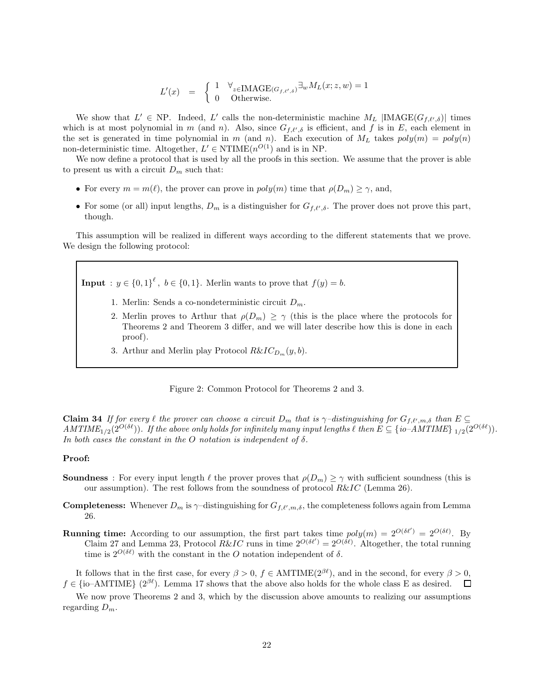$$
L'(x) = \begin{cases} 1 & \forall_{z \in \text{IMAGE}(G_{f, \ell', \delta})} \exists_{w} M_L(x; z, w) = 1 \\ 0 & \text{Otherwise.} \end{cases}
$$

We show that  $L' \in NP$ . Indeed, L' calls the non-deterministic machine  $M_L$  |IMAGE( $G_{f,\ell',\delta}$ )| times which is at most polynomial in m (and n). Also, since  $G_{f,\ell',\delta}$  is efficient, and f is in E, each element in the set is generated in time polynomial in m (and n). Each execution of  $M_L$  takes  $poly(m) = poly(n)$ non-deterministic time. Altogether,  $L' \in \text{NTIME}(n^{O(1)})$  and is in NP.

We now define a protocol that is used by all the proofs in this section. We assume that the prover is able to present us with a circuit  $D_m$  such that:

- For every  $m = m(\ell)$ , the prover can prove in  $poly(m)$  time that  $\rho(D_m) \geq \gamma$ , and,
- For some (or all) input lengths,  $D_m$  is a distinguisher for  $G_{f,\ell',\delta}$ . The prover does not prove this part, though.

This assumption will be realized in different ways according to the different statements that we prove. We design the following protocol:

**Input** :  $y \in \{0,1\}^{\ell}$ ,  $b \in \{0,1\}$ . Merlin wants to prove that  $f(y) = b$ .

- 1. Merlin: Sends a co-nondeterministic circuit  $D_m$ .
- 2. Merlin proves to Arthur that  $\rho(D_m) \geq \gamma$  (this is the place where the protocols for Theorems 2 and Theorem 3 differ, and we will later describe how this is done in each proof).
- 3. Arthur and Merlin play Protocol  $R\&IC_{D_m}(y, b)$ .

Figure 2: Common Protocol for Theorems 2 and 3.

**Claim 34** If for every  $\ell$  the prover can choose a circuit  $D_m$  that is  $\gamma$ -distinguishing for  $G_{f,\ell',m,\delta}$  than  $E \subseteq$ AMTIME<sub>1/2</sub>(2<sup>O(δ $\ell$ </sup>)). If the above only holds for infinitely many input lengths  $\ell$  then  $E \subseteq \{io-AMTIME\}$ <sub>1/2</sub>(2<sup>O(δ $\ell$ </sup>)). In both cases the constant in the O notation is independent of  $\delta$ .

#### Proof:

- **Soundness**: For every input length  $\ell$  the prover proves that  $\rho(D_m) \geq \gamma$  with sufficient soundness (this is our assumption). The rest follows from the soundness of protocol  $R\&IC$  (Lemma 26).
- **Completeness:** Whenever  $D_m$  is  $\gamma$ -distinguishing for  $G_{f,\ell',m,\delta}$ , the completeness follows again from Lemma 26.
- **Running time:** According to our assumption, the first part takes time  $poly(m) = 2^{O(\delta\ell')} = 2^{O(\delta\ell)}$ . By Claim 27 and Lemma 23, Protocol  $R\&IC$  runs in time  $2^{O(\delta\ell')} = 2^{O(\delta\ell)}$ . Altogether, the total running time is  $2^{O(\delta\ell)}$  with the constant in the O notation independent of  $\delta$ .

It follows that in the first case, for every  $\beta > 0$ ,  $f \in AMTIME(2^{\beta \ell})$ , and in the second, for every  $\beta > 0$ , {io-AMTIME} ( $2^{\beta \ell}$ ). Lemma 17 shows that the above also holds for the whole class E as desired.  $\Box$  $f \in \{\text{io–AMTIME}\}\ (2^{\beta \ell})$ . Lemma 17 shows that the above also holds for the whole class E as desired.

We now prove Theorems 2 and 3, which by the discussion above amounts to realizing our assumptions regarding  $D_m$ .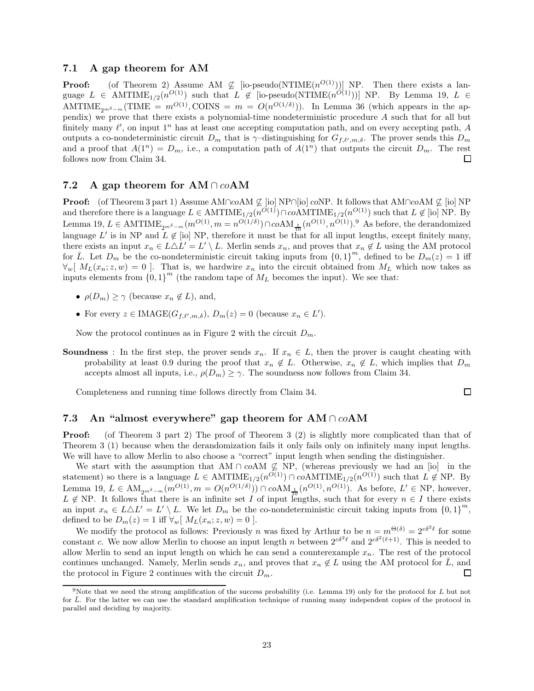## 7.1 A gap theorem for AM

**Proof:** (of Theorem 2) Assume AM  $\nsubseteq$  [io-pseudo(NTIME $(n^{O(1)})$ ] NP. Then there exists a language  $L \in \text{AMTIME}_{1/2}(n^{O(1)})$  such that  $L \notin [\text{io-pseudo}(\text{NTIME}(n^{O(1)}))]$  NP. By Lemma 19,  $L \in$ AMTIME<sub>2m</sub><sup> $\delta$ </sup>-m(TIME =  $m^{O(1)}$ , COINS =  $m = O(n^{O(1/\delta)}))$ . In Lemma 36 (which appears in the appendix) we prove that there exists a polynomial-time nondeterministic procedure A such that for all but finitely many  $\ell'$ , on input  $1^n$  has at least one accepting computation path, and on every accepting path, A outputs a co-nondeterministic circuit  $D_m$  that is  $\gamma$ -distinguishing for  $G_{f,\ell',m,\delta}$ . The prover sends this  $D_m$ and a proof that  $A(1^n) = D_m$ , i.e., a computation path of  $A(1^n)$  that outputs the circuit  $D_m$ . The rest follows now from Claim 34. □

## 7.2 A gap theorem for  $AM \cap coAM$

**Proof:** (of Theorem 3 part 1) Assume AM∩coAM  $\mathcal{L}$  [io] NP∩[io] coNP. It follows that AM∩coAM  $\mathcal{L}$  [io] NP and therefore there is a language  $L \in \text{AMTIME}_{1/2}(n^{O(1)}) \cap coAMTIME_{1/2}(n^{O(1)})$  such that  $L \notin [io]$  NP. By Lemma 19,  $L \in \text{AMTIME}_{2^{m\delta}-m}(m^{O(1)}, m=n^{O(1/\delta)}) \cap coAM_{\frac{1}{10}}(n^{O(1)}, n^{O(1)})$ .<sup>9</sup> As before, the derandomized language L' is in NP and  $L \notin [i\text{ol}]\text{ NP}$ , therefore it must be that for all input lengths, except finitely many, there exists an input  $x_n \in L \triangle L' = L' \setminus L$ . Merlin sends  $x_n$ , and proves that  $x_n \notin L$  using the AM protocol for  $\overline{L}$ . Let  $D_m$  be the co-nondeterministic circuit taking inputs from  $\{0,1\}^m$ , defined to be  $D_m(z) = 1$  iff  $\forall w \, [\,M_L(x_n; z, w) = 0 \,].$  That is, we hardwire  $x_n$  into the circuit obtained from  $M_L$  which now takes as inputs elements from  ${0,1}^m$  (the random tape of  $M_L$  becomes the input). We see that:

- $\rho(D_m) \geq \gamma$  (because  $x_n \notin L$ ), and,
- For every  $z \in \text{IMAGE}(G_{f,\ell',m,\delta}), D_m(z) = 0$  (because  $x_n \in L'$ ).

Now the protocol continues as in Figure 2 with the circuit  $D_m$ .

**Soundness** : In the first step, the prover sends  $x_n$ . If  $x_n \in L$ , then the prover is caught cheating with probability at least 0.9 during the proof that  $x_n \notin L$ . Otherwise,  $x_n \notin L$ , which implies that  $D_m$ accepts almost all inputs, i.e.,  $\rho(D_m) \geq \gamma$ . The soundness now follows from Claim 34.

Completeness and running time follows directly from Claim 34.

## 7.3 An "almost everywhere" gap theorem for  $AM \cap coAM$

**Proof:** (of Theorem 3 part 2) The proof of Theorem 3 (2) is slightly more complicated than that of Theorem 3 (1) because when the derandomization fails it only fails only on infinitely many input lengths. We will have to allow Merlin to also choose a "correct" input length when sending the distinguisher.

We start with the assumption that AM ∩ coAM  $\varphi$  NP, (whereas previously we had an [io] in the statement) so there is a language  $L \in \text{AMTIME}_{1/2}(n^{O(1)}) \cap coAMTIME_{1/2}(n^{O(1)})$  such that  $L \notin \text{NP}$ . By Lemma 19,  $L \in AM_{2m^{\delta}-m}(m^{O(1)}, m = O(n^{O(1/\delta)})) \cap coAM_{\frac{1}{10}}(n^{O(1)}, n^{O(1)})$ . As before,  $L' \in NP$ , however,  $L \notin NP$ . It follows that there is an infinite set I of input lengths, such that for every  $n \in I$  there exists an input  $x_n \in L \triangle L' = L' \setminus L$ . We let  $D_m$  be the co-nondeterministic circuit taking inputs from  $\{0, 1\}^m$ , defined to be  $D_m(z) = 1$  iff  $\forall_w [M_L(x_n; z, w) = 0].$ 

We modify the protocol as follows: Previously n was fixed by Arthur to be  $n = m^{\Theta(\delta)} = 2^{c\delta^2 \ell}$  for some constant c. We now allow Merlin to choose an input length n between  $2^{c\delta^2\ell}$  and  $2^{c\delta^2(\ell+1)}$ . This is needed to allow Merlin to send an input length on which he can send a counterexample  $x_n$ . The rest of the protocol continues unchanged. Namely, Merlin sends  $x_n$ , and proves that  $x_n \notin L$  using the AM protocol for  $\overline{L}$ , and the protocol in Figure 2 continues with the circuit  $D_m$ . the protocol in Figure 2 continues with the circuit  $D_m$ .

 $\Box$ 

<sup>&</sup>lt;sup>9</sup>Note that we need the strong amplification of the success probability (i.e. Lemma 19) only for the protocol for  $L$  but not for  $\overline{L}$ . For the latter we can use the standard amplification technique of running many independent copies of the protocol in parallel and deciding by majority.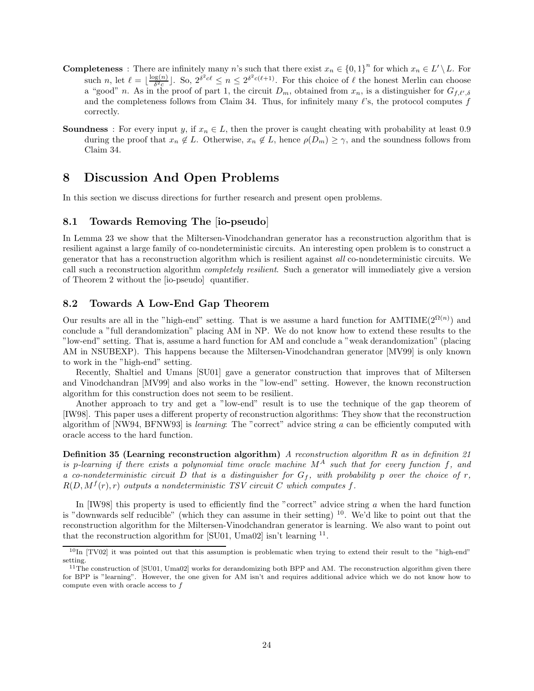- **Completeness** : There are infinitely many n's such that there exist  $x_n \in \{0,1\}^n$  for which  $x_n \in L' \setminus L$ . For such *n*, let  $\ell = \lfloor \frac{\log(n)}{\delta^2 c} \rfloor$  $\frac{\log(n)}{\delta^2 c}$ . So,  $2^{\delta^2 c \ell} \leq n \leq 2^{\delta^2 c (\ell+1)}$ . For this choice of  $\ell$  the honest Merlin can choose a "good" n. As in the proof of part 1, the circuit  $D_m$ , obtained from  $x_n$ , is a distinguisher for  $G_{f,\ell',\delta}$ and the completeness follows from Claim 34. Thus, for infinitely many  $\ell$ 's, the protocol computes f correctly.
- **Soundness** : For every input y, if  $x_n \in L$ , then the prover is caught cheating with probability at least 0.9 during the proof that  $x_n \notin L$ . Otherwise,  $x_n \notin L$ , hence  $\rho(D_m) \geq \gamma$ , and the soundness follows from Claim 34.

## 8 Discussion And Open Problems

In this section we discuss directions for further research and present open problems.

## 8.1 Towards Removing The [io-pseudo]

In Lemma 23 we show that the Miltersen-Vinodchandran generator has a reconstruction algorithm that is resilient against a large family of co-nondeterministic circuits. An interesting open problem is to construct a generator that has a reconstruction algorithm which is resilient against all co-nondeterministic circuits. We call such a reconstruction algorithm *completely resilient*. Such a generator will immediately give a version of Theorem 2 without the [io-pseudo] quantifier.

### 8.2 Towards A Low-End Gap Theorem

Our results are all in the "high-end" setting. That is we assume a hard function for  $AMTIME(2^{\Omega(n)})$  and conclude a "full derandomization" placing AM in NP. We do not know how to extend these results to the "low-end" setting. That is, assume a hard function for AM and conclude a "weak derandomization" (placing AM in NSUBEXP). This happens because the Miltersen-Vinodchandran generator [MV99] is only known to work in the "high-end" setting.

Recently, Shaltiel and Umans [SU01] gave a generator construction that improves that of Miltersen and Vinodchandran [MV99] and also works in the "low-end" setting. However, the known reconstruction algorithm for this construction does not seem to be resilient.

Another approach to try and get a "low-end" result is to use the technique of the gap theorem of [IW98]. This paper uses a different property of reconstruction algorithms: They show that the reconstruction algorithm of [NW94, BFNW93] is learning: The "correct" advice string a can be efficiently computed with oracle access to the hard function.

Definition 35 (Learning reconstruction algorithm) A reconstruction algorithm R as in definition 21 is p-learning if there exists a polynomial time oracle machine  $M^A$  such that for every function f, and a co-nondeterministic circuit D that is a distinguisher for  $G_f$ , with probability p over the choice of r,  $R(D, M^f(r), r)$  outputs a nondeterministic TSV circuit C which computes f.

In  $[IW98]$  this property is used to efficiently find the "correct" advice string a when the hard function is "downwards self reducible" (which they can assume in their setting)  $^{10}$ . We'd like to point out that the reconstruction algorithm for the Miltersen-Vinodchandran generator is learning. We also want to point out that the reconstruction algorithm for [SU01, Uma02] isn't learning <sup>11</sup>.

 $10$ In [TV02] it was pointed out that this assumption is problematic when trying to extend their result to the "high-end" setting.

 $11$ The construction of [SU01, Uma02] works for derandomizing both BPP and AM. The reconstruction algorithm given there for BPP is "learning". However, the one given for AM isn't and requires additional advice which we do not know how to compute even with oracle access to f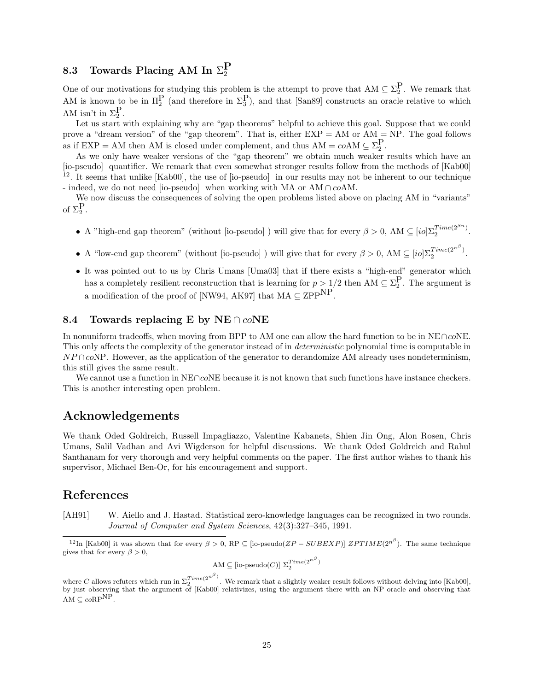# 8.3 Towards Placing AM In  $\Sigma^\mathbf{P}_2$

One of our motivations for studying this problem is the attempt to prove that  $AM \subseteq \Sigma_2^P$ . We remark that AM is known to be in  $\Pi_2^P$  (and therefore in  $\Sigma_3^P$ ), and that [San89] constructs an oracle relative to which AM isn't in  $\Sigma_2^P$ .

Let us start with explaining why are "gap theorems" helpful to achieve this goal. Suppose that we could prove a "dream version" of the "gap theorem". That is, either  $EXP = AM$  or  $AM = NP$ . The goal follows as if  $EXP = AM$  then AM is closed under complement, and thus  $AM = coAM \subseteq \Sigma_2^P$ .

As we only have weaker versions of the "gap theorem" we obtain much weaker results which have an [io-pseudo] quantifier. We remark that even somewhat stronger results follow from the methods of [Kab00] <sup>12</sup>. It seems that unlike [Kab00], the use of [io-pseudo] in our results may not be inherent to our technique - indeed, we do not need [io-pseudo] when working with MA or AM ∩ coAM.

We now discuss the consequences of solving the open problems listed above on placing AM in "variants" of  $\Sigma_2^P$ .

- A "high-end gap theorem" (without [io-pseudo]) will give that for every  $\beta > 0$ , AM  $\subseteq [io] \Sigma_2^{Time(2^{\beta n})}$ .
- A "low-end gap theorem" (without [io-pseudo]) will give that for every  $\beta > 0$ , AM  $\subseteq [io] \Sigma_2^{Time(2^{n^{\beta}})}$ .
- It was pointed out to us by Chris Umans [Uma03] that if there exists a "high-end" generator which has a completely resilient reconstruction that is learning for  $p > 1/2$  then AM  $\subseteq \Sigma_2^P$ . The argument is a modification of the proof of [NW94, AK97] that  $MA \subseteq ZPP^{NP}$ .

## 8.4 Towards replacing E by NE ∩  $coNE$

In nonuniform tradeoffs, when moving from BPP to AM one can allow the hard function to be in NE∩coNE. This only affects the complexity of the generator instead of in deterministic polynomial time is computable in  $NP \cap coNP$ . However, as the application of the generator to derandomize AM already uses nondeterminism, this still gives the same result.

We cannot use a function in NE∩coNE because it is not known that such functions have instance checkers. This is another interesting open problem.

## Acknowledgements

We thank Oded Goldreich, Russell Impagliazzo, Valentine Kabanets, Shien Jin Ong, Alon Rosen, Chris Umans, Salil Vadhan and Avi Wigderson for helpful discussions. We thank Oded Goldreich and Rahul Santhanam for very thorough and very helpful comments on the paper. The first author wishes to thank his supervisor, Michael Ben-Or, for his encouragement and support.

## References

[AH91] W. Aiello and J. Hastad. Statistical zero-knowledge languages can be recognized in two rounds. Journal of Computer and System Sciences, 42(3):327–345, 1991.

$$
AM \subseteq [io\text{-pseudo}(C)] \ \Sigma_2^{Time(2^{n^{\beta}})}
$$

)

<sup>&</sup>lt;sup>12</sup>In [Kab00] it was shown that for every  $\beta > 0$ , RP  $\subseteq$  [io-pseudo( $ZP-SUBEXP$ )]  $ZPTIME(2^{n^{\beta}})$ . The same technique gives that for every  $\beta > 0$ ,

where C allows refuters which run in  $\Sigma_2^{Time(2^{n^{\beta}})}$ . We remark that a slightly weaker result follows without delving into [Kab00], by just observing that the argument of [Kab00] relativizes, using the argument there with an NP oracle and observing that AM  $\subseteq$  coRP<sup>NP</sup>.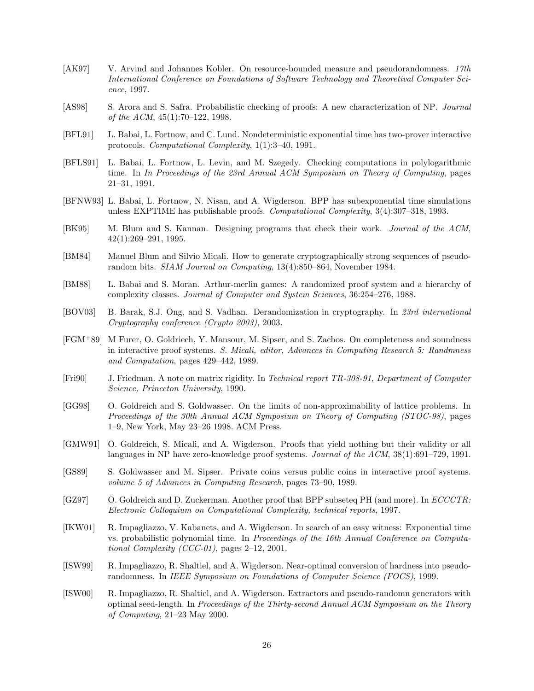- [AK97] V. Arvind and Johannes Kobler. On resource-bounded measure and pseudorandomness. 17th International Conference on Foundations of Software Technology and Theoretival Computer Science, 1997.
- [AS98] S. Arora and S. Safra. Probabilistic checking of proofs: A new characterization of NP. Journal of the ACM, 45(1):70–122, 1998.
- [BFL91] L. Babai, L. Fortnow, and C. Lund. Nondeterministic exponential time has two-prover interactive protocols. Computational Complexity, 1(1):3–40, 1991.
- [BFLS91] L. Babai, L. Fortnow, L. Levin, and M. Szegedy. Checking computations in polylogarithmic time. In In Proceedings of the 23rd Annual ACM Symposium on Theory of Computing, pages 21–31, 1991.
- [BFNW93] L. Babai, L. Fortnow, N. Nisan, and A. Wigderson. BPP has subexponential time simulations unless EXPTIME has publishable proofs. Computational Complexity, 3(4):307–318, 1993.
- [BK95] M. Blum and S. Kannan. Designing programs that check their work. Journal of the ACM, 42(1):269–291, 1995.
- [BM84] Manuel Blum and Silvio Micali. How to generate cryptographically strong sequences of pseudorandom bits. SIAM Journal on Computing, 13(4):850–864, November 1984.
- [BM88] L. Babai and S. Moran. Arthur-merlin games: A randomized proof system and a hierarchy of complexity classes. Journal of Computer and System Sciences, 36:254–276, 1988.
- [BOV03] B. Barak, S.J. Ong, and S. Vadhan. Derandomization in cryptography. In 23rd international Cryptography conference (Crypto 2003), 2003.
- [FGM<sup>+</sup>89] M Furer, O. Goldriech, Y. Mansour, M. Sipser, and S. Zachos. On completeness and soundness in interactive proof systems. S. Micali, editor, Advances in Computing Research 5: Randmness and Computation, pages 429–442, 1989.
- [Fri90] J. Friedman. A note on matrix rigidity. In Technical report TR-308-91, Department of Computer Science, Princeton University, 1990.
- [GG98] O. Goldreich and S. Goldwasser. On the limits of non-approximability of lattice problems. In Proceedings of the 30th Annual ACM Symposium on Theory of Computing (STOC-98), pages 1–9, New York, May 23–26 1998. ACM Press.
- [GMW91] O. Goldreich, S. Micali, and A. Wigderson. Proofs that yield nothing but their validity or all languages in NP have zero-knowledge proof systems. Journal of the ACM, 38(1):691–729, 1991.
- [GS89] S. Goldwasser and M. Sipser. Private coins versus public coins in interactive proof systems. volume 5 of Advances in Computing Research, pages 73–90, 1989.
- [GZ97] O. Goldreich and D. Zuckerman. Another proof that BPP subseteq PH (and more). In ECCCTR: Electronic Colloquium on Computational Complexity, technical reports, 1997.
- [IKW01] R. Impagliazzo, V. Kabanets, and A. Wigderson. In search of an easy witness: Exponential time vs. probabilistic polynomial time. In Proceedings of the 16th Annual Conference on Computational Complexity (CCC-01), pages  $2-12$ , 2001.
- [ISW99] R. Impagliazzo, R. Shaltiel, and A. Wigderson. Near-optimal conversion of hardness into pseudorandomness. In IEEE Symposium on Foundations of Computer Science (FOCS), 1999.
- [ISW00] R. Impagliazzo, R. Shaltiel, and A. Wigderson. Extractors and pseudo-randomn generators with optimal seed-length. In Proceedings of the Thirty-second Annual ACM Symposium on the Theory of Computing, 21–23 May 2000.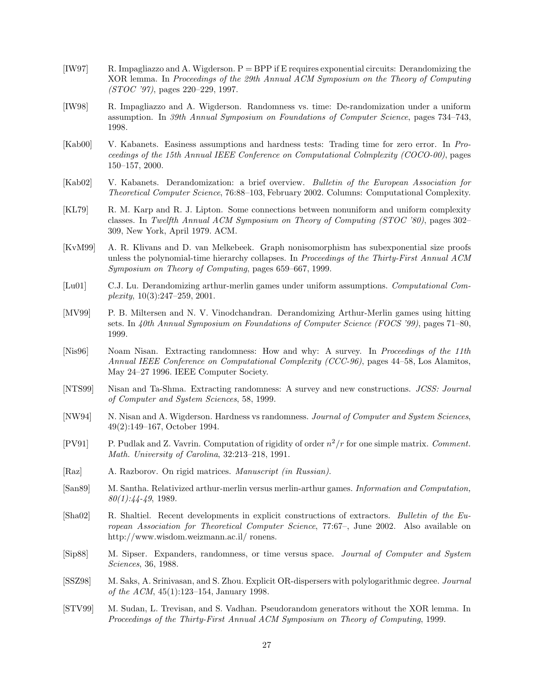- [IW97] R. Impagliazzo and A. Wigderson. P = BPP if E requires exponential circuits: Derandomizing the XOR lemma. In Proceedings of the 29th Annual ACM Symposium on the Theory of Computing (STOC '97), pages 220–229, 1997.
- [IW98] R. Impagliazzo and A. Wigderson. Randomness vs. time: De-randomization under a uniform assumption. In 39th Annual Symposium on Foundations of Computer Science, pages 734–743, 1998.
- [Kab00] V. Kabanets. Easiness assumptions and hardness tests: Trading time for zero error. In Proceedings of the 15th Annual IEEE Conference on Computational Colmplexity (COCO-00), pages 150–157, 2000.
- [Kab02] V. Kabanets. Derandomization: a brief overview. Bulletin of the European Association for Theoretical Computer Science, 76:88–103, February 2002. Columns: Computational Complexity.
- [KL79] R. M. Karp and R. J. Lipton. Some connections between nonuniform and uniform complexity classes. In Twelfth Annual ACM Symposium on Theory of Computing (STOC '80), pages 302– 309, New York, April 1979. ACM.
- [KvM99] A. R. Klivans and D. van Melkebeek. Graph nonisomorphism has subexponential size proofs unless the polynomial-time hierarchy collapses. In Proceedings of the Thirty-First Annual ACM Symposium on Theory of Computing, pages 659–667, 1999.
- [Lu01] C.J. Lu. Derandomizing arthur-merlin games under uniform assumptions. Computational Complexity, 10(3):247–259, 2001.
- [MV99] P. B. Miltersen and N. V. Vinodchandran. Derandomizing Arthur-Merlin games using hitting sets. In 40th Annual Symposium on Foundations of Computer Science (FOCS '99), pages 71–80, 1999.
- [Nis96] Noam Nisan. Extracting randomness: How and why: A survey. In Proceedings of the 11th Annual IEEE Conference on Computational Complexity (CCC-96), pages 44–58, Los Alamitos, May 24–27 1996. IEEE Computer Society.
- [NTS99] Nisan and Ta-Shma. Extracting randomness: A survey and new constructions. JCSS: Journal of Computer and System Sciences, 58, 1999.
- [NW94] N. Nisan and A. Wigderson. Hardness vs randomness. Journal of Computer and System Sciences, 49(2):149–167, October 1994.
- [PV91] P. Pudlak and Z. Vavrin. Computation of rigidity of order  $n^2/r$  for one simple matrix. Comment. Math. University of Carolina, 32:213–218, 1991.
- [Raz] A. Razborov. On rigid matrices. Manuscript (in Russian).
- [San89] M. Santha. Relativized arthur-merlin versus merlin-arthur games. Information and Computation,  $80(1):44-49, 1989.$
- [Sha02] R. Shaltiel. Recent developments in explicit constructions of extractors. Bulletin of the European Association for Theoretical Computer Science, 77:67–, June 2002. Also available on http://www.wisdom.weizmann.ac.il/ ronens.
- [Sip88] M. Sipser. Expanders, randomness, or time versus space. Journal of Computer and System Sciences, 36, 1988.
- [SSZ98] M. Saks, A. Srinivasan, and S. Zhou. Explicit OR-dispersers with polylogarithmic degree. Journal of the ACM, 45(1):123–154, January 1998.
- [STV99] M. Sudan, L. Trevisan, and S. Vadhan. Pseudorandom generators without the XOR lemma. In Proceedings of the Thirty-First Annual ACM Symposium on Theory of Computing, 1999.